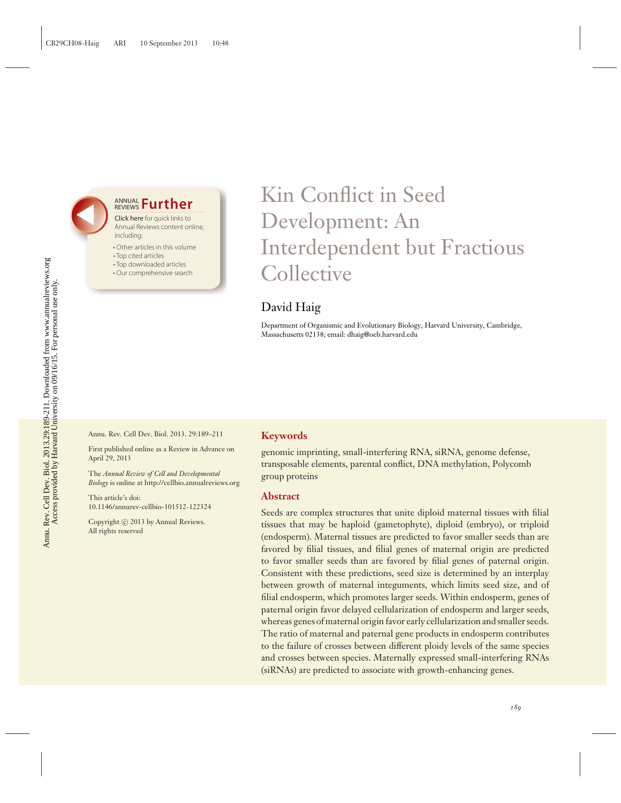## **ANNUAL Further**

Click here for quick links to Annual Reviews content online, including:

• Other articles in this volume

• Top cited articles

- Top downloaded articles
- Our comprehensive search

# Kin Conflict in Seed Development: An Interdependent but Fractious **Collective**

### David Haig

Department of Organismic and Evolutionary Biology, Harvard University, Cambridge, Massachusetts 02138; email: dhaig@oeb.harvard.edu

Annu. Rev. Cell Dev. Biol. 2013. 29:189–211

First published online as a Review in Advance on April 29, 2013

The *Annual Review of Cell and Developmental Biology* is online at http://cellbio.annualreviews.org

This article's doi: 10.1146/annurev-cellbio-101512-122324

Copyright  $\odot$  2013 by Annual Reviews. All rights reserved

#### **Keywords**

genomic imprinting, small-interfering RNA, siRNA, genome defense, transposable elements, parental conflict, DNA methylation, Polycomb group proteins

#### **Abstract**

Seeds are complex structures that unite diploid maternal tissues with filial tissues that may be haploid (gametophyte), diploid (embryo), or triploid (endosperm). Maternal tissues are predicted to favor smaller seeds than are favored by filial tissues, and filial genes of maternal origin are predicted to favor smaller seeds than are favored by filial genes of paternal origin. Consistent with these predictions, seed size is determined by an interplay between growth of maternal integuments, which limits seed size, and of filial endosperm, which promotes larger seeds. Within endosperm, genes of paternal origin favor delayed cellularization of endosperm and larger seeds, whereas genes of maternal origin favor early cellularization and smaller seeds. The ratio of maternal and paternal gene products in endosperm contributes to the failure of crosses between different ploidy levels of the same species and crosses between species. Maternally expressed small-interfering RNAs (siRNAs) are predicted to associate with growth-enhancing genes.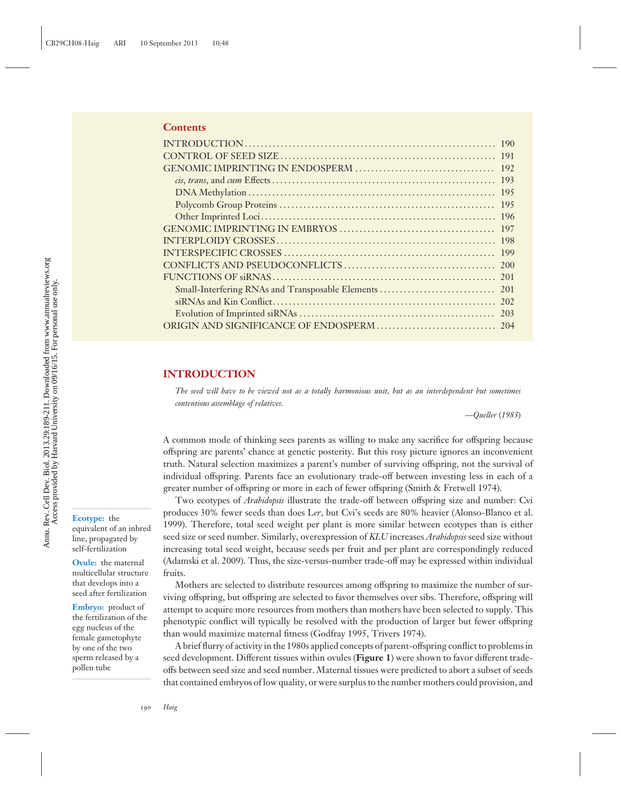#### **Contents**

#### **INTRODUCTION**

*The seed will have to be viewed not as a totally harmonious unit, but as an interdependent but sometimes contentious assemblage of relatives.*

—*Queller* (*1983*)

A common mode of thinking sees parents as willing to make any sacrifice for offspring because offspring are parents' chance at genetic posterity. But this rosy picture ignores an inconvenient truth. Natural selection maximizes a parent's number of surviving offspring, not the survival of individual offspring. Parents face an evolutionary trade-off between investing less in each of a greater number of offspring or more in each of fewer offspring (Smith & Fretwell 1974).

Two ecotypes of *Arabidopsis* illustrate the trade-off between offspring size and number: Cvi produces 30% fewer seeds than does L*er*, but Cvi's seeds are 80% heavier (Alonso-Blanco et al. 1999). Therefore, total seed weight per plant is more similar between ecotypes than is either seed size or seed number. Similarly, overexpression of *KLU* increases *Arabidopsis* seed size without increasing total seed weight, because seeds per fruit and per plant are correspondingly reduced (Adamski et al. 2009). Thus, the size-versus-number trade-off may be expressed within individual fruits.

Mothers are selected to distribute resources among offspring to maximize the number of surviving offspring, but offspring are selected to favor themselves over sibs. Therefore, offspring will attempt to acquire more resources from mothers than mothers have been selected to supply. This phenotypic conflict will typically be resolved with the production of larger but fewer offspring than would maximize maternal fitness (Godfray 1995, Trivers 1974).

A brief flurry of activity in the 1980s applied concepts of parent-offspring conflict to problems in seed development. Different tissues within ovules (**Figure 1**) were shown to favor different tradeoffs between seed size and seed number. Maternal tissues were predicted to abort a subset of seeds that contained embryos of low quality, or were surplus to the number mothers could provision, and

**Ecotype:** the equivalent of an inbred line, propagated by self-fertilization

**Ovule:** the maternal multicellular structure that develops into a seed after fertilization

**Embryo:** product of the fertilization of the egg nucleus of the female gametophyte by one of the two sperm released by a pollen tube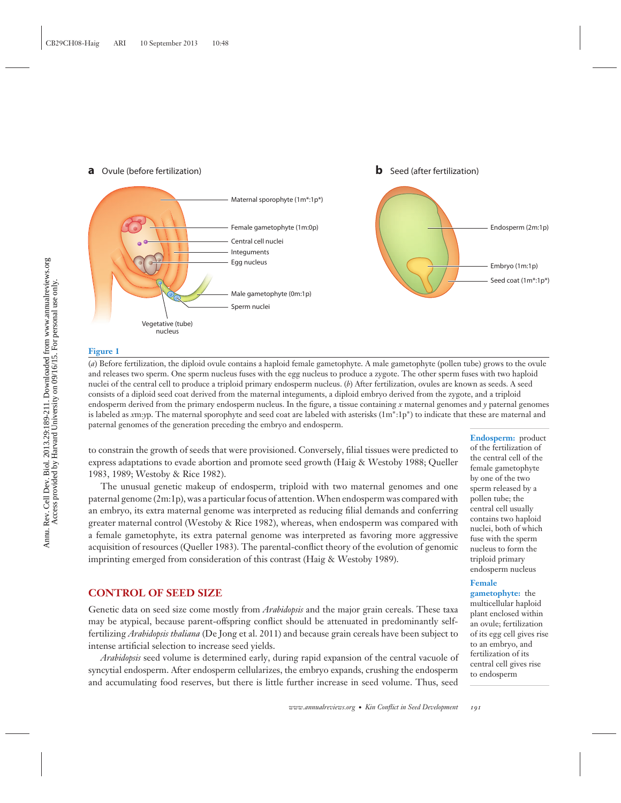#### **a** Ovule (before fertilization) **b** Seed (after fertilization)



#### **Figure 1**

(*a*) Before fertilization, the diploid ovule contains a haploid female gametophyte. A male gametophyte (pollen tube) grows to the ovule and releases two sperm. One sperm nucleus fuses with the egg nucleus to produce a zygote. The other sperm fuses with two haploid nuclei of the central cell to produce a triploid primary endosperm nucleus. (*b*) After fertilization, ovules are known as seeds. A seed consists of a diploid seed coat derived from the maternal integuments, a diploid embryo derived from the zygote, and a triploid endosperm derived from the primary endosperm nucleus. In the figure, a tissue containing *x* maternal genomes and *y* paternal genomes is labeled as *x*m:*y*p. The maternal sporophyte and seed coat are labeled with asterisks (1m∗:1p∗) to indicate that these are maternal and paternal genomes of the generation preceding the embryo and endosperm.

to constrain the growth of seeds that were provisioned. Conversely, filial tissues were predicted to express adaptations to evade abortion and promote seed growth (Haig & Westoby 1988; Queller 1983, 1989; Westoby & Rice 1982).

The unusual genetic makeup of endosperm, triploid with two maternal genomes and one paternal genome (2m:1p), was a particular focus of attention.When endosperm was compared with an embryo, its extra maternal genome was interpreted as reducing filial demands and conferring greater maternal control (Westoby & Rice 1982), whereas, when endosperm was compared with a female gametophyte, its extra paternal genome was interpreted as favoring more aggressive acquisition of resources (Queller 1983). The parental-conflict theory of the evolution of genomic imprinting emerged from consideration of this contrast (Haig & Westoby 1989).

#### **CONTROL OF SEED SIZE**

Genetic data on seed size come mostly from *Arabidopsis* and the major grain cereals. These taxa may be atypical, because parent-offspring conflict should be attenuated in predominantly selffertilizing *Arabidopsis thaliana* (De Jong et al. 2011) and because grain cereals have been subject to intense artificial selection to increase seed yields.

*Arabidopsis* seed volume is determined early, during rapid expansion of the central vacuole of syncytial endosperm. After endosperm cellularizes, the embryo expands, crushing the endosperm and accumulating food reserves, but there is little further increase in seed volume. Thus, seed

**Endosperm:** product of the fertilization of the central cell of the female gametophyte by one of the two sperm released by a pollen tube; the central cell usually contains two haploid nuclei, both of which fuse with the sperm nucleus to form the triploid primary endosperm nucleus

#### **Female**

**gametophyte:** the multicellular haploid plant enclosed within an ovule; fertilization of its egg cell gives rise to an embryo, and fertilization of its central cell gives rise to endosperm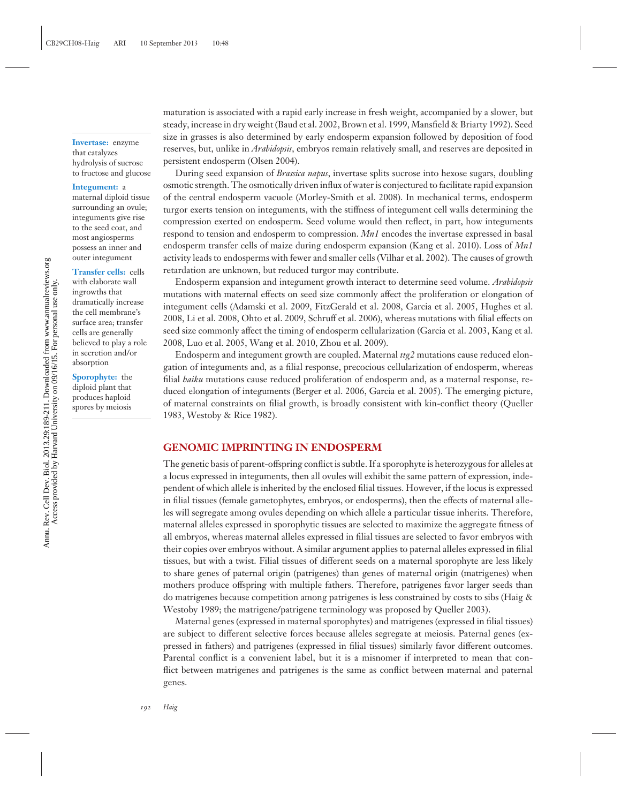**Invertase:** enzyme that catalyzes hydrolysis of sucrose to fructose and glucose

#### **Integument:** a

maternal diploid tissue surrounding an ovule; integuments give rise to the seed coat, and most angiosperms possess an inner and outer integument

#### **Transfer cells:** cells with elaborate wall ingrowths that

dramatically increase the cell membrane's surface area; transfer cells are generally believed to play a role in secretion and/or absorption

**Sporophyte:** the diploid plant that produces haploid spores by meiosis

Annu. Rev. Cell Dev. Biol. 2013.29:189-211. Downloaded from www.annualreviews.org<br>Access provided by Harvard University on 09/16/15. For personal use only. Annu. Rev. Cell Dev. Biol. 2013.29:189-211. Downloaded from www.annualreviews.org Access provided by Harvard University on 09/16/15. For personal use only.

maturation is associated with a rapid early increase in fresh weight, accompanied by a slower, but steady, increase in dry weight (Baud et al. 2002, Brown et al. 1999, Mansfield & Briarty 1992). Seed size in grasses is also determined by early endosperm expansion followed by deposition of food reserves, but, unlike in *Arabidopsis*, embryos remain relatively small, and reserves are deposited in persistent endosperm (Olsen 2004).

During seed expansion of *Brassica napus*, invertase splits sucrose into hexose sugars, doubling osmotic strength. The osmotically driven influx of water is conjectured to facilitate rapid expansion of the central endosperm vacuole (Morley-Smith et al. 2008). In mechanical terms, endosperm turgor exerts tension on integuments, with the stiffness of integument cell walls determining the compression exerted on endosperm. Seed volume would then reflect, in part, how integuments respond to tension and endosperm to compression. *Mn1* encodes the invertase expressed in basal endosperm transfer cells of maize during endosperm expansion (Kang et al. 2010). Loss of *Mn1* activity leads to endosperms with fewer and smaller cells (Vilhar et al. 2002). The causes of growth retardation are unknown, but reduced turgor may contribute.

Endosperm expansion and integument growth interact to determine seed volume. *Arabidopsis* mutations with maternal effects on seed size commonly affect the proliferation or elongation of integument cells (Adamski et al. 2009, FitzGerald et al. 2008, Garcia et al. 2005, Hughes et al. 2008, Li et al. 2008, Ohto et al. 2009, Schruff et al. 2006), whereas mutations with filial effects on seed size commonly affect the timing of endosperm cellularization (Garcia et al. 2003, Kang et al. 2008, Luo et al. 2005, Wang et al. 2010, Zhou et al. 2009).

Endosperm and integument growth are coupled. Maternal *ttg2* mutations cause reduced elongation of integuments and, as a filial response, precocious cellularization of endosperm, whereas filial *haiku* mutations cause reduced proliferation of endosperm and, as a maternal response, reduced elongation of integuments (Berger et al. 2006, Garcia et al. 2005). The emerging picture, of maternal constraints on filial growth, is broadly consistent with kin-conflict theory (Queller 1983, Westoby & Rice 1982).

#### **GENOMIC IMPRINTING IN ENDOSPERM**

The genetic basis of parent-offspring conflict is subtle. If a sporophyte is heterozygous for alleles at a locus expressed in integuments, then all ovules will exhibit the same pattern of expression, independent of which allele is inherited by the enclosed filial tissues. However, if the locus is expressed in filial tissues (female gametophytes, embryos, or endosperms), then the effects of maternal alleles will segregate among ovules depending on which allele a particular tissue inherits. Therefore, maternal alleles expressed in sporophytic tissues are selected to maximize the aggregate fitness of all embryos, whereas maternal alleles expressed in filial tissues are selected to favor embryos with their copies over embryos without. A similar argument applies to paternal alleles expressed in filial tissues, but with a twist. Filial tissues of different seeds on a maternal sporophyte are less likely to share genes of paternal origin (patrigenes) than genes of maternal origin (matrigenes) when mothers produce offspring with multiple fathers. Therefore, patrigenes favor larger seeds than do matrigenes because competition among patrigenes is less constrained by costs to sibs (Haig & Westoby 1989; the matrigene/patrigene terminology was proposed by Queller 2003).

Maternal genes (expressed in maternal sporophytes) and matrigenes (expressed in filial tissues) are subject to different selective forces because alleles segregate at meiosis. Paternal genes (expressed in fathers) and patrigenes (expressed in filial tissues) similarly favor different outcomes. Parental conflict is a convenient label, but it is a misnomer if interpreted to mean that conflict between matrigenes and patrigenes is the same as conflict between maternal and paternal genes.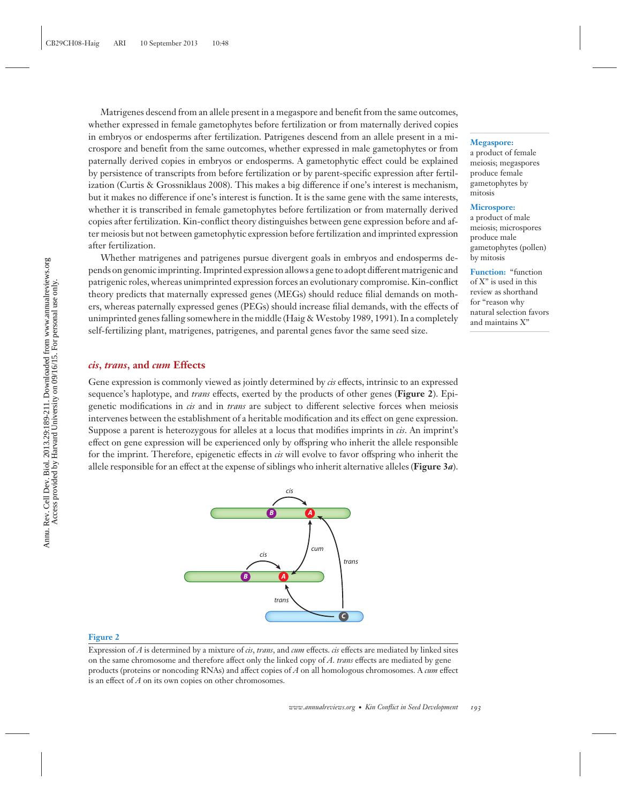Matrigenes descend from an allele present in a megaspore and benefit from the same outcomes, whether expressed in female gametophytes before fertilization or from maternally derived copies in embryos or endosperms after fertilization. Patrigenes descend from an allele present in a microspore and benefit from the same outcomes, whether expressed in male gametophytes or from paternally derived copies in embryos or endosperms. A gametophytic effect could be explained by persistence of transcripts from before fertilization or by parent-specific expression after fertilization (Curtis & Grossniklaus 2008). This makes a big difference if one's interest is mechanism, but it makes no difference if one's interest is function. It is the same gene with the same interests, whether it is transcribed in female gametophytes before fertilization or from maternally derived copies after fertilization. Kin-conflict theory distinguishes between gene expression before and after meiosis but not between gametophytic expression before fertilization and imprinted expression after fertilization.

Whether matrigenes and patrigenes pursue divergent goals in embryos and endosperms depends on genomic imprinting. Imprinted expression allows a gene to adopt different matrigenic and patrigenic roles, whereas unimprinted expression forces an evolutionary compromise. Kin-conflict theory predicts that maternally expressed genes (MEGs) should reduce filial demands on mothers, whereas paternally expressed genes (PEGs) should increase filial demands, with the effects of unimprinted genes falling somewhere in the middle (Haig & Westoby 1989, 1991). In a completely self-fertilizing plant, matrigenes, patrigenes, and parental genes favor the same seed size.

#### *cis***,** *trans***, and** *cum* **Effects**

Gene expression is commonly viewed as jointly determined by *cis* effects, intrinsic to an expressed sequence's haplotype, and *trans* effects, exerted by the products of other genes (**Figure 2**). Epigenetic modifications in *cis* and in *trans* are subject to different selective forces when meiosis intervenes between the establishment of a heritable modification and its effect on gene expression. Suppose a parent is heterozygous for alleles at a locus that modifies imprints in *cis*. An imprint's effect on gene expression will be experienced only by offspring who inherit the allele responsible for the imprint. Therefore, epigenetic effects in *cis* will evolve to favor offspring who inherit the allele responsible for an effect at the expense of siblings who inherit alternative alleles (**Figure 3***a*).



#### **Figure 2**

Expression of *A* is determined by a mixture of *cis*, *trans*, and *cum* effects. *cis* effects are mediated by linked sites on the same chromosome and therefore affect only the linked copy of *A*. *trans* effects are mediated by gene products (proteins or noncoding RNAs) and affect copies of *A* on all homologous chromosomes. A *cum* effect is an effect of *A* on its own copies on other chromosomes.

#### **Megaspore:**

a product of female meiosis; megaspores produce female gametophytes by mitosis

#### **Microspore:**

a product of male meiosis; microspores produce male gametophytes (pollen) by mitosis

**Function:** "function of X" is used in this review as shorthand for "reason why natural selection favors and maintains X"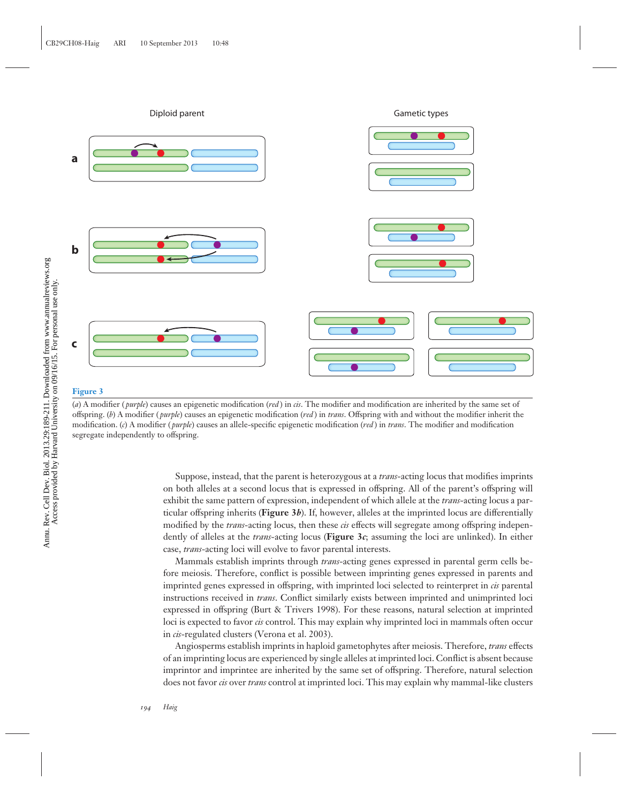

#### **Figure 3**

(*a*) A modifier ( *purple*) causes an epigenetic modification (*red* ) in *cis*. The modifier and modification are inherited by the same set of offspring. (*b*) A modifier ( *purple*) causes an epigenetic modification (*red* ) in *trans*. Offspring with and without the modifier inherit the modification. (*c*) A modifier ( *purple*) causes an allele-specific epigenetic modification (*red* ) in *trans*. The modifier and modification segregate independently to offspring.

Suppose, instead, that the parent is heterozygous at a *trans*-acting locus that modifies imprints on both alleles at a second locus that is expressed in offspring. All of the parent's offspring will exhibit the same pattern of expression, independent of which allele at the *trans*-acting locus a particular offspring inherits (**Figure 3***b*). If, however, alleles at the imprinted locus are differentially modified by the *trans*-acting locus, then these *cis* effects will segregate among offspring independently of alleles at the *trans*-acting locus (**Figure 3***c*; assuming the loci are unlinked). In either case, *trans*-acting loci will evolve to favor parental interests.

Mammals establish imprints through *trans*-acting genes expressed in parental germ cells before meiosis. Therefore, conflict is possible between imprinting genes expressed in parents and imprinted genes expressed in offspring, with imprinted loci selected to reinterpret in *cis* parental instructions received in *trans*. Conflict similarly exists between imprinted and unimprinted loci expressed in offspring (Burt & Trivers 1998). For these reasons, natural selection at imprinted loci is expected to favor *cis* control. This may explain why imprinted loci in mammals often occur in *cis*-regulated clusters (Verona et al. 2003).

Angiosperms establish imprints in haploid gametophytes after meiosis. Therefore, *trans* effects of an imprinting locus are experienced by single alleles at imprinted loci. Conflict is absent because imprintor and imprintee are inherited by the same set of offspring. Therefore, natural selection does not favor *cis* over *trans* control at imprinted loci. This may explain why mammal-like clusters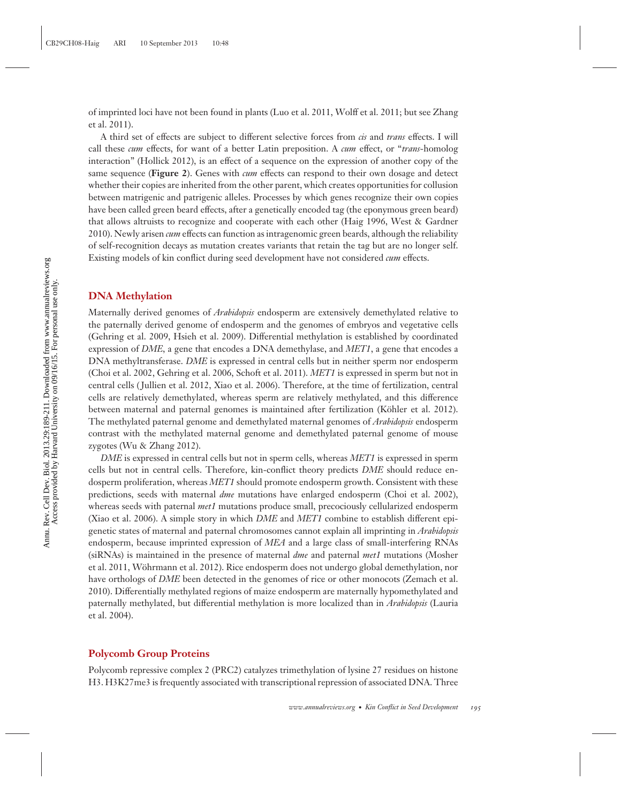of imprinted loci have not been found in plants (Luo et al. 2011, Wolff et al. 2011; but see Zhang et al. 2011).

A third set of effects are subject to different selective forces from *cis* and *trans* effects. I will call these *cum* effects, for want of a better Latin preposition. A *cum* effect, or "*trans*-homolog interaction" (Hollick 2012), is an effect of a sequence on the expression of another copy of the same sequence (**Figure 2**). Genes with *cum* effects can respond to their own dosage and detect whether their copies are inherited from the other parent, which creates opportunities for collusion between matrigenic and patrigenic alleles. Processes by which genes recognize their own copies have been called green beard effects, after a genetically encoded tag (the eponymous green beard) that allows altruists to recognize and cooperate with each other (Haig 1996, West & Gardner 2010). Newly arisen *cum* effects can function as intragenomic green beards, although the reliability of self-recognition decays as mutation creates variants that retain the tag but are no longer self. Existing models of kin conflict during seed development have not considered *cum* effects.

#### **DNA Methylation**

Maternally derived genomes of *Arabidopsis* endosperm are extensively demethylated relative to the paternally derived genome of endosperm and the genomes of embryos and vegetative cells (Gehring et al. 2009, Hsieh et al. 2009). Differential methylation is established by coordinated expression of *DME*, a gene that encodes a DNA demethylase, and *MET1*, a gene that encodes a DNA methyltransferase. *DME* is expressed in central cells but in neither sperm nor endosperm (Choi et al. 2002, Gehring et al. 2006, Schoft et al. 2011). *MET1* is expressed in sperm but not in central cells ( Jullien et al. 2012, Xiao et al. 2006). Therefore, at the time of fertilization, central cells are relatively demethylated, whereas sperm are relatively methylated, and this difference between maternal and paternal genomes is maintained after fertilization (Köhler et al. 2012). The methylated paternal genome and demethylated maternal genomes of *Arabidopsis* endosperm contrast with the methylated maternal genome and demethylated paternal genome of mouse zygotes (Wu & Zhang 2012).

*DME* is expressed in central cells but not in sperm cells, whereas *MET1* is expressed in sperm cells but not in central cells. Therefore, kin-conflict theory predicts *DME* should reduce endosperm proliferation, whereas *MET1* should promote endosperm growth. Consistent with these predictions, seeds with maternal *dme* mutations have enlarged endosperm (Choi et al. 2002), whereas seeds with paternal *met1* mutations produce small, precociously cellularized endosperm (Xiao et al. 2006). A simple story in which *DME* and *MET1* combine to establish different epigenetic states of maternal and paternal chromosomes cannot explain all imprinting in *Arabidopsis* endosperm, because imprinted expression of *MEA* and a large class of small-interfering RNAs (siRNAs) is maintained in the presence of maternal *dme* and paternal *met1* mutations (Mosher et al. 2011, Wöhrmann et al. 2012). Rice endosperm does not undergo global demethylation, nor have orthologs of *DME* been detected in the genomes of rice or other monocots (Zemach et al. 2010). Differentially methylated regions of maize endosperm are maternally hypomethylated and paternally methylated, but differential methylation is more localized than in *Arabidopsis* (Lauria et al. 2004).

#### **Polycomb Group Proteins**

Polycomb repressive complex 2 (PRC2) catalyzes trimethylation of lysine 27 residues on histone H3. H3K27me3 is frequently associated with transcriptional repression of associated DNA. Three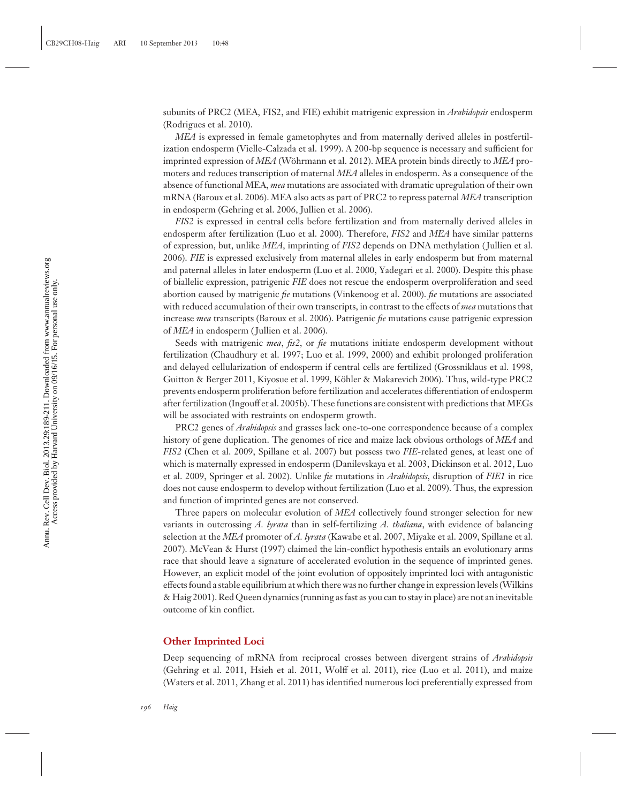subunits of PRC2 (MEA, FIS2, and FIE) exhibit matrigenic expression in *Arabidopsis* endosperm (Rodrigues et al. 2010).

*MEA* is expressed in female gametophytes and from maternally derived alleles in postfertilization endosperm (Vielle-Calzada et al. 1999). A 200-bp sequence is necessary and sufficient for imprinted expression of *MEA* (Wöhrmann et al. 2012). MEA protein binds directly to *MEA* promoters and reduces transcription of maternal *MEA* alleles in endosperm. As a consequence of the absence of functional MEA, *mea* mutations are associated with dramatic upregulation of their own mRNA (Baroux et al. 2006). MEA also acts as part of PRC2 to repress paternal *MEA* transcription in endosperm (Gehring et al. 2006, Jullien et al. 2006).

*FIS2* is expressed in central cells before fertilization and from maternally derived alleles in endosperm after fertilization (Luo et al. 2000). Therefore, *FIS2* and *MEA* have similar patterns of expression, but, unlike *MEA*, imprinting of *FIS2* depends on DNA methylation ( Jullien et al. 2006). *FIE* is expressed exclusively from maternal alleles in early endosperm but from maternal and paternal alleles in later endosperm (Luo et al. 2000, Yadegari et al. 2000). Despite this phase of biallelic expression, patrigenic *FIE* does not rescue the endosperm overproliferation and seed abortion caused by matrigenic *fie* mutations (Vinkenoog et al. 2000). *fie* mutations are associated with reduced accumulation of their own transcripts, in contrast to the effects of *mea* mutations that increase *mea* transcripts (Baroux et al. 2006). Patrigenic *fie* mutations cause patrigenic expression of *MEA* in endosperm ( Jullien et al. 2006).

Seeds with matrigenic *mea*, *fis2*, or *fie* mutations initiate endosperm development without fertilization (Chaudhury et al. 1997; Luo et al. 1999, 2000) and exhibit prolonged proliferation and delayed cellularization of endosperm if central cells are fertilized (Grossniklaus et al. 1998, Guitton & Berger 2011, Kiyosue et al. 1999, Kohler & Makarevich 2006). Thus, wild-type PRC2 ¨ prevents endosperm proliferation before fertilization and accelerates differentiation of endosperm after fertilization (Ingouff et al. 2005b). These functions are consistent with predictions that MEGs will be associated with restraints on endosperm growth.

PRC2 genes of *Arabidopsis* and grasses lack one-to-one correspondence because of a complex history of gene duplication. The genomes of rice and maize lack obvious orthologs of *MEA* and *FIS2* (Chen et al. 2009, Spillane et al. 2007) but possess two *FIE*-related genes, at least one of which is maternally expressed in endosperm (Danilevskaya et al. 2003, Dickinson et al. 2012, Luo et al. 2009, Springer et al. 2002). Unlike *fie* mutations in *Arabidopsis*, disruption of *FIE1* in rice does not cause endosperm to develop without fertilization (Luo et al. 2009). Thus, the expression and function of imprinted genes are not conserved.

Three papers on molecular evolution of *MEA* collectively found stronger selection for new variants in outcrossing *A. lyrata* than in self-fertilizing *A. thaliana*, with evidence of balancing selection at the *MEA* promoter of *A. lyrata* (Kawabe et al. 2007, Miyake et al. 2009, Spillane et al. 2007). McVean & Hurst (1997) claimed the kin-conflict hypothesis entails an evolutionary arms race that should leave a signature of accelerated evolution in the sequence of imprinted genes. However, an explicit model of the joint evolution of oppositely imprinted loci with antagonistic effects found a stable equilibrium at which there was no further change in expression levels (Wilkins & Haig 2001). Red Queen dynamics (running as fast as you can to stay in place) are not an inevitable outcome of kin conflict.

#### **Other Imprinted Loci**

Deep sequencing of mRNA from reciprocal crosses between divergent strains of *Arabidopsis* (Gehring et al. 2011, Hsieh et al. 2011, Wolff et al. 2011), rice (Luo et al. 2011), and maize (Waters et al. 2011, Zhang et al. 2011) has identified numerous loci preferentially expressed from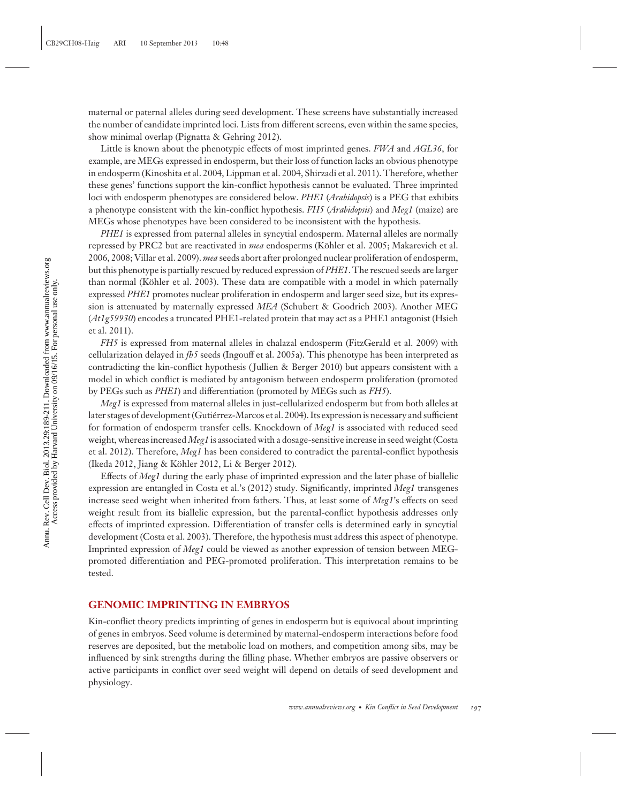maternal or paternal alleles during seed development. These screens have substantially increased the number of candidate imprinted loci. Lists from different screens, even within the same species, show minimal overlap (Pignatta & Gehring 2012).

Little is known about the phenotypic effects of most imprinted genes. *FWA* and *AGL36*, for example, are MEGs expressed in endosperm, but their loss of function lacks an obvious phenotype in endosperm (Kinoshita et al. 2004, Lippman et al. 2004, Shirzadi et al. 2011). Therefore, whether these genes' functions support the kin-conflict hypothesis cannot be evaluated. Three imprinted loci with endosperm phenotypes are considered below. *PHE1* (*Arabidopsis*) is a PEG that exhibits a phenotype consistent with the kin-conflict hypothesis. *FH5* (*Arabidopsis*) and *Meg1* (maize) are MEGs whose phenotypes have been considered to be inconsistent with the hypothesis.

*PHE1* is expressed from paternal alleles in syncytial endosperm. Maternal alleles are normally repressed by PRC2 but are reactivated in *mea* endosperms (Köhler et al. 2005; Makarevich et al. 2006, 2008; Villar et al. 2009). *mea* seeds abort after prolonged nuclear proliferation of endosperm, but this phenotype is partially rescued by reduced expression of *PHE1*. The rescued seeds are larger than normal (Köhler et al. 2003). These data are compatible with a model in which paternally expressed *PHE1* promotes nuclear proliferation in endosperm and larger seed size, but its expression is attenuated by maternally expressed *MEA* (Schubert & Goodrich 2003). Another MEG (*At1g59930*) encodes a truncated PHE1-related protein that may act as a PHE1 antagonist (Hsieh et al. 2011).

*FH5* is expressed from maternal alleles in chalazal endosperm (FitzGerald et al. 2009) with cellularization delayed in *fh5* seeds (Ingouff et al. 2005a). This phenotype has been interpreted as contradicting the kin-conflict hypothesis ( Jullien & Berger 2010) but appears consistent with a model in which conflict is mediated by antagonism between endosperm proliferation (promoted by PEGs such as *PHE1*) and differentiation (promoted by MEGs such as *FH5*).

*Meg1* is expressed from maternal alleles in just-cellularized endosperm but from both alleles at later stages of development (Gutiérrez-Marcos et al. 2004). Its expression is necessary and sufficient for formation of endosperm transfer cells. Knockdown of *Meg1* is associated with reduced seed weight, whereas increased *Meg1* is associated with a dosage-sensitive increase in seed weight (Costa et al. 2012). Therefore, *Meg1* has been considered to contradict the parental-conflict hypothesis (Ikeda 2012, Jiang & Köhler 2012, Li & Berger 2012).

Effects of *Meg1* during the early phase of imprinted expression and the later phase of biallelic expression are entangled in Costa et al.'s (2012) study. Significantly, imprinted *Meg1* transgenes increase seed weight when inherited from fathers. Thus, at least some of *Meg1*'s effects on seed weight result from its biallelic expression, but the parental-conflict hypothesis addresses only effects of imprinted expression. Differentiation of transfer cells is determined early in syncytial development (Costa et al. 2003). Therefore, the hypothesis must address this aspect of phenotype. Imprinted expression of *Meg1* could be viewed as another expression of tension between MEGpromoted differentiation and PEG-promoted proliferation. This interpretation remains to be tested.

#### **GENOMIC IMPRINTING IN EMBRYOS**

Kin-conflict theory predicts imprinting of genes in endosperm but is equivocal about imprinting of genes in embryos. Seed volume is determined by maternal-endosperm interactions before food reserves are deposited, but the metabolic load on mothers, and competition among sibs, may be influenced by sink strengths during the filling phase. Whether embryos are passive observers or active participants in conflict over seed weight will depend on details of seed development and physiology.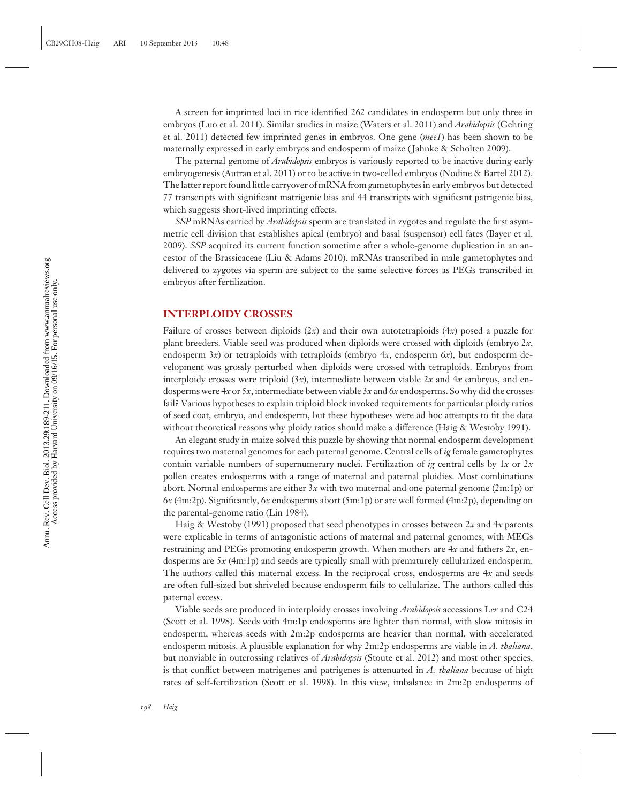A screen for imprinted loci in rice identified 262 candidates in endosperm but only three in embryos (Luo et al. 2011). Similar studies in maize (Waters et al. 2011) and *Arabidopsis* (Gehring et al. 2011) detected few imprinted genes in embryos. One gene (*mee1*) has been shown to be maternally expressed in early embryos and endosperm of maize (Jahnke & Scholten 2009).

The paternal genome of *Arabidopsis* embryos is variously reported to be inactive during early embryogenesis (Autran et al. 2011) or to be active in two-celled embryos (Nodine & Bartel 2012). The latter report found little carryover of mRNA from gametophytes in early embryos but detected 77 transcripts with significant matrigenic bias and 44 transcripts with significant patrigenic bias, which suggests short-lived imprinting effects.

*SSP* mRNAs carried by *Arabidopsis* sperm are translated in zygotes and regulate the first asymmetric cell division that establishes apical (embryo) and basal (suspensor) cell fates (Bayer et al. 2009). *SSP* acquired its current function sometime after a whole-genome duplication in an ancestor of the Brassicaceae (Liu & Adams 2010). mRNAs transcribed in male gametophytes and delivered to zygotes via sperm are subject to the same selective forces as PEGs transcribed in embryos after fertilization.

#### **INTERPLOIDY CROSSES**

Failure of crosses between diploids (2*x*) and their own autotetraploids (4*x*) posed a puzzle for plant breeders. Viable seed was produced when diploids were crossed with diploids (embryo 2*x*, endosperm 3*x*) or tetraploids with tetraploids (embryo 4*x*, endosperm 6*x*), but endosperm development was grossly perturbed when diploids were crossed with tetraploids. Embryos from interploidy crosses were triploid (3*x*), intermediate between viable 2*x* and 4*x* embryos, and endosperms were 4*x* or 5*x*, intermediate between viable 3*x* and 6*x* endosperms. So why did the crosses fail? Various hypotheses to explain triploid block invoked requirements for particular ploidy ratios of seed coat, embryo, and endosperm, but these hypotheses were ad hoc attempts to fit the data without theoretical reasons why ploidy ratios should make a difference (Haig & Westoby 1991).

An elegant study in maize solved this puzzle by showing that normal endosperm development requires two maternal genomes for each paternal genome. Central cells of *ig* female gametophytes contain variable numbers of supernumerary nuclei. Fertilization of *ig* central cells by 1*x* or 2*x* pollen creates endosperms with a range of maternal and paternal ploidies. Most combinations abort. Normal endosperms are either 3*x* with two maternal and one paternal genome (2m:1p) or 6*x* (4m:2p). Significantly, 6*x* endosperms abort (5m:1p) or are well formed (4m:2p), depending on the parental-genome ratio (Lin 1984).

Haig & Westoby (1991) proposed that seed phenotypes in crosses between 2*x* and 4*x* parents were explicable in terms of antagonistic actions of maternal and paternal genomes, with MEGs restraining and PEGs promoting endosperm growth. When mothers are 4*x* and fathers 2*x*, endosperms are 5*x* (4m:1p) and seeds are typically small with prematurely cellularized endosperm. The authors called this maternal excess. In the reciprocal cross, endosperms are 4*x* and seeds are often full-sized but shriveled because endosperm fails to cellularize. The authors called this paternal excess.

Viable seeds are produced in interploidy crosses involving *Arabidopsis* accessions L*er* and C24 (Scott et al. 1998). Seeds with 4m:1p endosperms are lighter than normal, with slow mitosis in endosperm, whereas seeds with 2m:2p endosperms are heavier than normal, with accelerated endosperm mitosis. A plausible explanation for why 2m:2p endosperms are viable in *A. thaliana*, but nonviable in outcrossing relatives of *Arabidopsis* (Stoute et al. 2012) and most other species, is that conflict between matrigenes and patrigenes is attenuated in *A. thaliana* because of high rates of self-fertilization (Scott et al. 1998). In this view, imbalance in 2m:2p endosperms of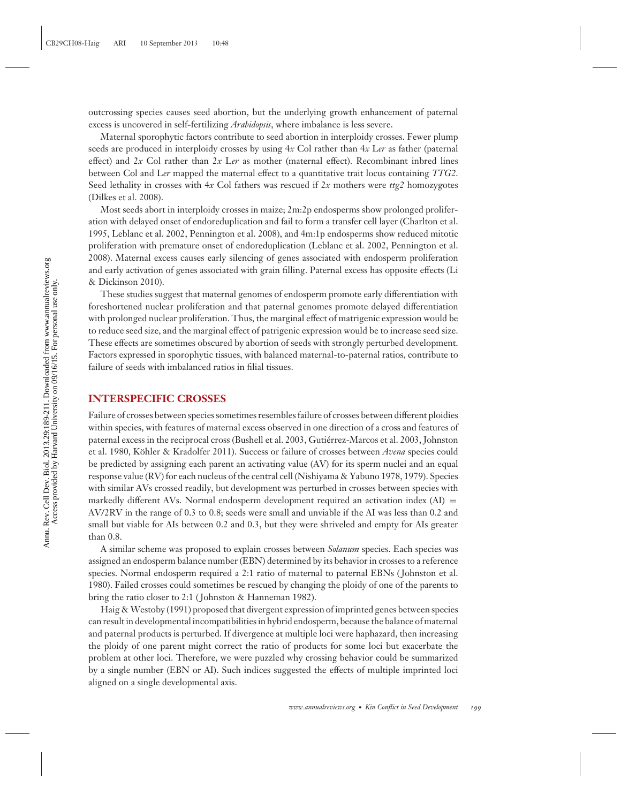outcrossing species causes seed abortion, but the underlying growth enhancement of paternal excess is uncovered in self-fertilizing *Arabidopsis*, where imbalance is less severe.

Maternal sporophytic factors contribute to seed abortion in interploidy crosses. Fewer plump seeds are produced in interploidy crosses by using 4*x* Col rather than 4*x* L*er* as father (paternal effect) and 2*x* Col rather than 2*x* L*er* as mother (maternal effect). Recombinant inbred lines between Col and L*er* mapped the maternal effect to a quantitative trait locus containing *TTG2*. Seed lethality in crosses with 4*x* Col fathers was rescued if 2*x* mothers were *ttg2* homozygotes (Dilkes et al. 2008).

Most seeds abort in interploidy crosses in maize; 2m:2p endosperms show prolonged proliferation with delayed onset of endoreduplication and fail to form a transfer cell layer (Charlton et al. 1995, Leblanc et al. 2002, Pennington et al. 2008), and 4m:1p endosperms show reduced mitotic proliferation with premature onset of endoreduplication (Leblanc et al. 2002, Pennington et al. 2008). Maternal excess causes early silencing of genes associated with endosperm proliferation and early activation of genes associated with grain filling. Paternal excess has opposite effects (Li & Dickinson 2010).

These studies suggest that maternal genomes of endosperm promote early differentiation with foreshortened nuclear proliferation and that paternal genomes promote delayed differentiation with prolonged nuclear proliferation. Thus, the marginal effect of matrigenic expression would be to reduce seed size, and the marginal effect of patrigenic expression would be to increase seed size. These effects are sometimes obscured by abortion of seeds with strongly perturbed development. Factors expressed in sporophytic tissues, with balanced maternal-to-paternal ratios, contribute to failure of seeds with imbalanced ratios in filial tissues.

#### **INTERSPECIFIC CROSSES**

Failure of crosses between species sometimes resembles failure of crosses between different ploidies within species, with features of maternal excess observed in one direction of a cross and features of paternal excess in the reciprocal cross (Bushell et al. 2003, Gutierrez-Marcos et al. 2003, Johnston ´ et al. 1980, Köhler & Kradolfer 2011). Success or failure of crosses between Avena species could be predicted by assigning each parent an activating value (AV) for its sperm nuclei and an equal response value (RV) for each nucleus of the central cell (Nishiyama & Yabuno 1978, 1979). Species with similar AVs crossed readily, but development was perturbed in crosses between species with markedly different AVs. Normal endosperm development required an activation index  $(AI)$  = AV/2RV in the range of 0.3 to 0.8; seeds were small and unviable if the AI was less than 0.2 and small but viable for AIs between 0.2 and 0.3, but they were shriveled and empty for AIs greater than 0.8.

A similar scheme was proposed to explain crosses between *Solanum* species. Each species was assigned an endosperm balance number (EBN) determined by its behavior in crosses to a reference species. Normal endosperm required a 2:1 ratio of maternal to paternal EBNs ( Johnston et al. 1980). Failed crosses could sometimes be rescued by changing the ploidy of one of the parents to bring the ratio closer to 2:1 ( Johnston & Hanneman 1982).

Haig & Westoby (1991) proposed that divergent expression of imprinted genes between species can result in developmental incompatibilities in hybrid endosperm, because the balance of maternal and paternal products is perturbed. If divergence at multiple loci were haphazard, then increasing the ploidy of one parent might correct the ratio of products for some loci but exacerbate the problem at other loci. Therefore, we were puzzled why crossing behavior could be summarized by a single number (EBN or AI). Such indices suggested the effects of multiple imprinted loci aligned on a single developmental axis.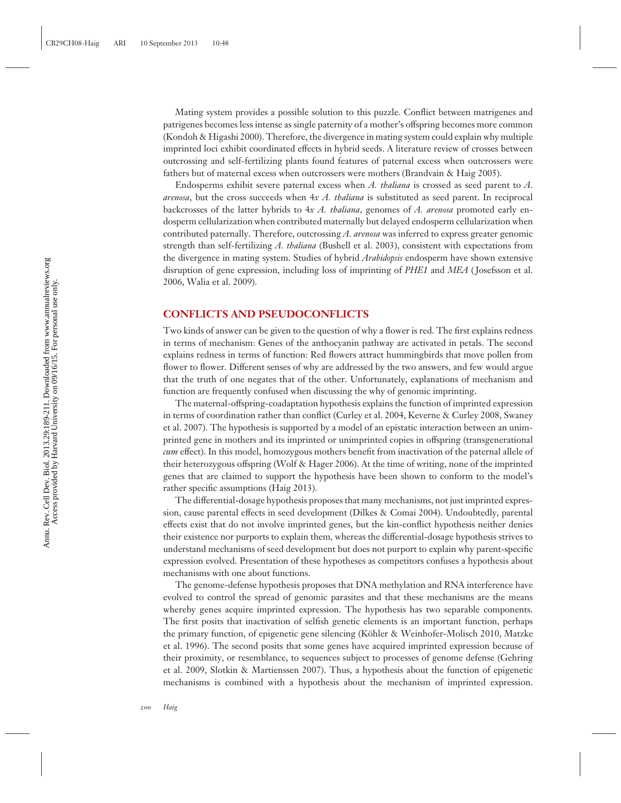Mating system provides a possible solution to this puzzle. Conflict between matrigenes and patrigenes becomes less intense as single paternity of a mother's offspring becomes more common (Kondoh & Higashi 2000). Therefore, the divergence in mating system could explain why multiple imprinted loci exhibit coordinated effects in hybrid seeds. A literature review of crosses between outcrossing and self-fertilizing plants found features of paternal excess when outcrossers were fathers but of maternal excess when outcrossers were mothers (Brandvain & Haig 2005).

Endosperms exhibit severe paternal excess when *A. thaliana* is crossed as seed parent to *A. arenosa*, but the cross succeeds when 4*x A. thaliana* is substituted as seed parent. In reciprocal backcrosses of the latter hybrids to 4*x A. thaliana*, genomes of *A. arenosa* promoted early endosperm cellularization when contributed maternally but delayed endosperm cellularization when contributed paternally. Therefore, outcrossing *A. arenosa* was inferred to express greater genomic strength than self-fertilizing *A. thaliana* (Bushell et al. 2003), consistent with expectations from the divergence in mating system. Studies of hybrid *Arabidopsis* endosperm have shown extensive disruption of gene expression, including loss of imprinting of *PHE1* and *MEA* ( Josefsson et al. 2006, Walia et al. 2009).

#### **CONFLICTS AND PSEUDOCONFLICTS**

Two kinds of answer can be given to the question of why a flower is red. The first explains redness in terms of mechanism: Genes of the anthocyanin pathway are activated in petals. The second explains redness in terms of function: Red flowers attract hummingbirds that move pollen from flower to flower. Different senses of why are addressed by the two answers, and few would argue that the truth of one negates that of the other. Unfortunately, explanations of mechanism and function are frequently confused when discussing the why of genomic imprinting.

The maternal-offspring-coadaptation hypothesis explains the function of imprinted expression in terms of coordination rather than conflict (Curley et al. 2004, Keverne & Curley 2008, Swaney et al. 2007). The hypothesis is supported by a model of an epistatic interaction between an unimprinted gene in mothers and its imprinted or unimprinted copies in offspring (transgenerational *cum* effect). In this model, homozygous mothers benefit from inactivation of the paternal allele of their heterozygous offspring (Wolf & Hager 2006). At the time of writing, none of the imprinted genes that are claimed to support the hypothesis have been shown to conform to the model's rather specific assumptions (Haig 2013).

The differential-dosage hypothesis proposes that many mechanisms, not just imprinted expression, cause parental effects in seed development (Dilkes & Comai 2004). Undoubtedly, parental effects exist that do not involve imprinted genes, but the kin-conflict hypothesis neither denies their existence nor purports to explain them, whereas the differential-dosage hypothesis strives to understand mechanisms of seed development but does not purport to explain why parent-specific expression evolved. Presentation of these hypotheses as competitors confuses a hypothesis about mechanisms with one about functions.

The genome-defense hypothesis proposes that DNA methylation and RNA interference have evolved to control the spread of genomic parasites and that these mechanisms are the means whereby genes acquire imprinted expression. The hypothesis has two separable components. The first posits that inactivation of selfish genetic elements is an important function, perhaps the primary function, of epigenetic gene silencing (Köhler & Weinhofer-Molisch 2010, Matzke et al. 1996). The second posits that some genes have acquired imprinted expression because of their proximity, or resemblance, to sequences subject to processes of genome defense (Gehring et al. 2009, Slotkin & Martienssen 2007). Thus, a hypothesis about the function of epigenetic mechanisms is combined with a hypothesis about the mechanism of imprinted expression.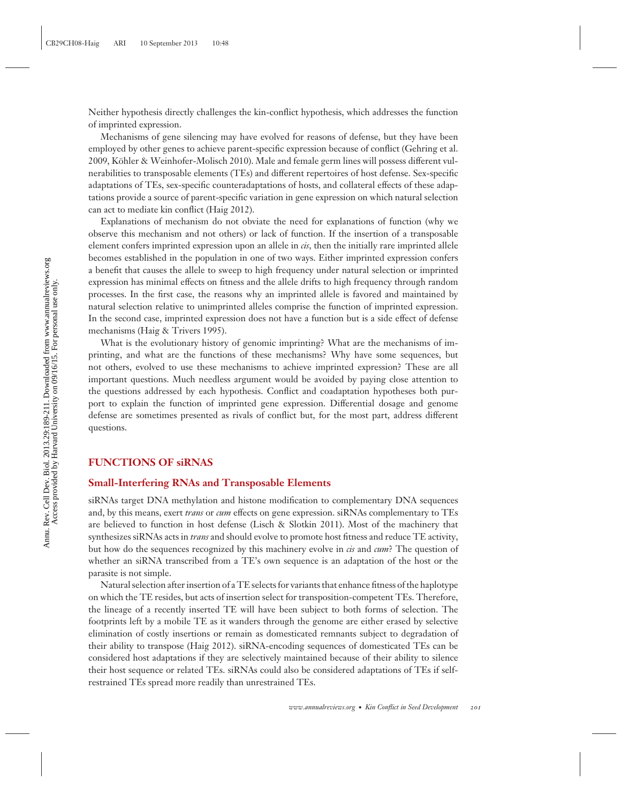Neither hypothesis directly challenges the kin-conflict hypothesis, which addresses the function of imprinted expression.

Mechanisms of gene silencing may have evolved for reasons of defense, but they have been employed by other genes to achieve parent-specific expression because of conflict (Gehring et al. 2009, Kohler & Weinhofer-Molisch 2010). Male and female germ lines will possess different vul- ¨ nerabilities to transposable elements (TEs) and different repertoires of host defense. Sex-specific adaptations of TEs, sex-specific counteradaptations of hosts, and collateral effects of these adaptations provide a source of parent-specific variation in gene expression on which natural selection can act to mediate kin conflict (Haig 2012).

Explanations of mechanism do not obviate the need for explanations of function (why we observe this mechanism and not others) or lack of function. If the insertion of a transposable element confers imprinted expression upon an allele in *cis*, then the initially rare imprinted allele becomes established in the population in one of two ways. Either imprinted expression confers a benefit that causes the allele to sweep to high frequency under natural selection or imprinted expression has minimal effects on fitness and the allele drifts to high frequency through random processes. In the first case, the reasons why an imprinted allele is favored and maintained by natural selection relative to unimprinted alleles comprise the function of imprinted expression. In the second case, imprinted expression does not have a function but is a side effect of defense mechanisms (Haig & Trivers 1995).

What is the evolutionary history of genomic imprinting? What are the mechanisms of imprinting, and what are the functions of these mechanisms? Why have some sequences, but not others, evolved to use these mechanisms to achieve imprinted expression? These are all important questions. Much needless argument would be avoided by paying close attention to the questions addressed by each hypothesis. Conflict and coadaptation hypotheses both purport to explain the function of imprinted gene expression. Differential dosage and genome defense are sometimes presented as rivals of conflict but, for the most part, address different questions.

#### **FUNCTIONS OF siRNAS**

#### **Small-Interfering RNAs and Transposable Elements**

siRNAs target DNA methylation and histone modification to complementary DNA sequences and, by this means, exert *trans* or *cum* effects on gene expression. siRNAs complementary to TEs are believed to function in host defense (Lisch & Slotkin 2011). Most of the machinery that synthesizes siRNAs acts in *trans* and should evolve to promote host fitness and reduce TE activity, but how do the sequences recognized by this machinery evolve in *cis* and *cum*? The question of whether an siRNA transcribed from a TE's own sequence is an adaptation of the host or the parasite is not simple.

Natural selection after insertion of a TE selects for variants that enhance fitness of the haplotype on which the TE resides, but acts of insertion select for transposition-competent TEs. Therefore, the lineage of a recently inserted TE will have been subject to both forms of selection. The footprints left by a mobile TE as it wanders through the genome are either erased by selective elimination of costly insertions or remain as domesticated remnants subject to degradation of their ability to transpose (Haig 2012). siRNA-encoding sequences of domesticated TEs can be considered host adaptations if they are selectively maintained because of their ability to silence their host sequence or related TEs. siRNAs could also be considered adaptations of TEs if selfrestrained TEs spread more readily than unrestrained TEs.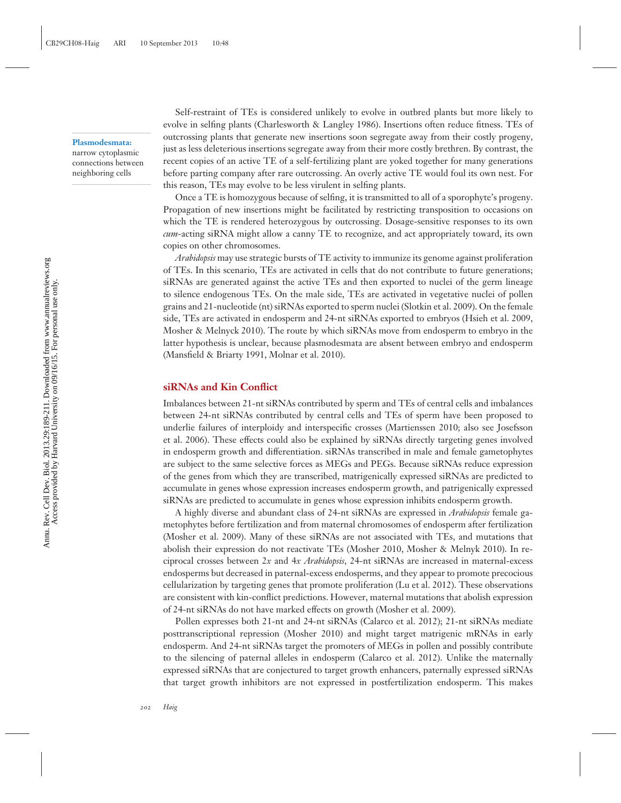#### **Plasmodesmata:**

narrow cytoplasmic connections between neighboring cells

Self-restraint of TEs is considered unlikely to evolve in outbred plants but more likely to evolve in selfing plants (Charlesworth & Langley 1986). Insertions often reduce fitness. TEs of outcrossing plants that generate new insertions soon segregate away from their costly progeny, just as less deleterious insertions segregate away from their more costly brethren. By contrast, the recent copies of an active TE of a self-fertilizing plant are yoked together for many generations before parting company after rare outcrossing. An overly active TE would foul its own nest. For this reason, TEs may evolve to be less virulent in selfing plants.

Once a TE is homozygous because of selfing, it is transmitted to all of a sporophyte's progeny. Propagation of new insertions might be facilitated by restricting transposition to occasions on which the TE is rendered heterozygous by outcrossing. Dosage-sensitive responses to its own *cum*-acting siRNA might allow a canny TE to recognize, and act appropriately toward, its own copies on other chromosomes.

*Arabidopsis* may use strategic bursts of TE activity to immunize its genome against proliferation of TEs. In this scenario, TEs are activated in cells that do not contribute to future generations; siRNAs are generated against the active TEs and then exported to nuclei of the germ lineage to silence endogenous TEs. On the male side, TEs are activated in vegetative nuclei of pollen grains and 21-nucleotide (nt) siRNAs exported to sperm nuclei (Slotkin et al. 2009). On the female side, TEs are activated in endosperm and 24-nt siRNAs exported to embryos (Hsieh et al. 2009, Mosher & Melnyck 2010). The route by which siRNAs move from endosperm to embryo in the latter hypothesis is unclear, because plasmodesmata are absent between embryo and endosperm (Mansfield & Briarty 1991, Molnar et al. 2010).

#### **siRNAs and Kin Conflict**

Imbalances between 21-nt siRNAs contributed by sperm and TEs of central cells and imbalances between 24-nt siRNAs contributed by central cells and TEs of sperm have been proposed to underlie failures of interploidy and interspecific crosses (Martienssen 2010; also see Josefsson et al. 2006). These effects could also be explained by siRNAs directly targeting genes involved in endosperm growth and differentiation. siRNAs transcribed in male and female gametophytes are subject to the same selective forces as MEGs and PEGs. Because siRNAs reduce expression of the genes from which they are transcribed, matrigenically expressed siRNAs are predicted to accumulate in genes whose expression increases endosperm growth, and patrigenically expressed siRNAs are predicted to accumulate in genes whose expression inhibits endosperm growth.

A highly diverse and abundant class of 24-nt siRNAs are expressed in *Arabidopsis* female gametophytes before fertilization and from maternal chromosomes of endosperm after fertilization (Mosher et al. 2009). Many of these siRNAs are not associated with TEs, and mutations that abolish their expression do not reactivate TEs (Mosher 2010, Mosher & Melnyk 2010). In reciprocal crosses between 2*x* and 4*x Arabidopsis*, 24-nt siRNAs are increased in maternal-excess endosperms but decreased in paternal-excess endosperms, and they appear to promote precocious cellularization by targeting genes that promote proliferation (Lu et al. 2012). These observations are consistent with kin-conflict predictions. However, maternal mutations that abolish expression of 24-nt siRNAs do not have marked effects on growth (Mosher et al. 2009).

Pollen expresses both 21-nt and 24-nt siRNAs (Calarco et al. 2012); 21-nt siRNAs mediate posttranscriptional repression (Mosher 2010) and might target matrigenic mRNAs in early endosperm. And 24-nt siRNAs target the promoters of MEGs in pollen and possibly contribute to the silencing of paternal alleles in endosperm (Calarco et al. 2012). Unlike the maternally expressed siRNAs that are conjectured to target growth enhancers, paternally expressed siRNAs that target growth inhibitors are not expressed in postfertilization endosperm. This makes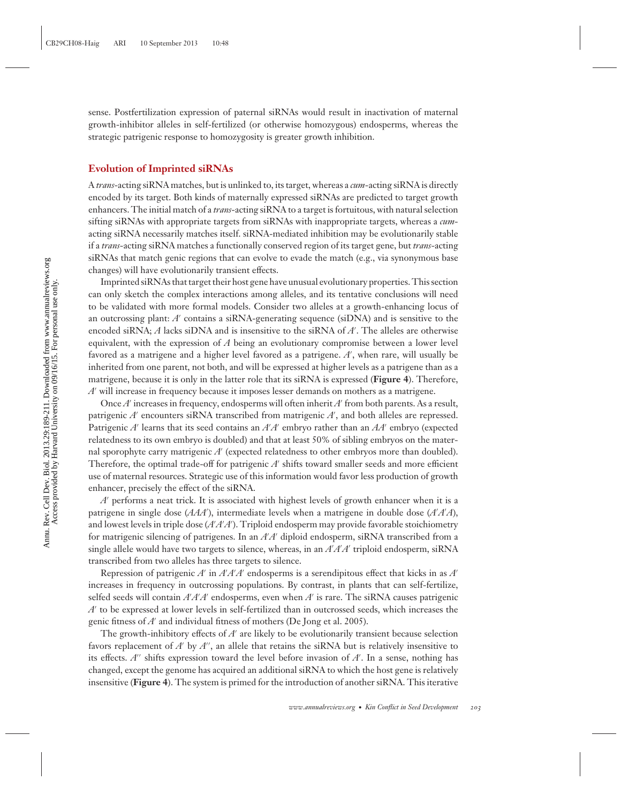sense. Postfertilization expression of paternal siRNAs would result in inactivation of maternal growth-inhibitor alleles in self-fertilized (or otherwise homozygous) endosperms, whereas the strategic patrigenic response to homozygosity is greater growth inhibition.

#### **Evolution of Imprinted siRNAs**

A *trans*-acting siRNA matches, but is unlinked to, its target, whereas a *cum*-acting siRNA is directly encoded by its target. Both kinds of maternally expressed siRNAs are predicted to target growth enhancers. The initial match of a *trans*-acting siRNA to a target is fortuitous, with natural selection sifting siRNAs with appropriate targets from siRNAs with inappropriate targets, whereas a *cum*acting siRNA necessarily matches itself. siRNA-mediated inhibition may be evolutionarily stable if a *trans*-acting siRNA matches a functionally conserved region of its target gene, but *trans*-acting siRNAs that match genic regions that can evolve to evade the match (e.g., via synonymous base changes) will have evolutionarily transient effects.

Imprinted siRNAs that target their host gene have unusual evolutionary properties. This section can only sketch the complex interactions among alleles, and its tentative conclusions will need to be validated with more formal models. Consider two alleles at a growth-enhancing locus of an outcrossing plant: *A'* contains a siRNA-generating sequence (siDNA) and is sensitive to the encoded siRNA; *A* lacks siDNA and is insensitive to the siRNA of *A* . The alleles are otherwise equivalent, with the expression of *A* being an evolutionary compromise between a lower level favored as a matrigene and a higher level favored as a patrigene. *A* , when rare, will usually be inherited from one parent, not both, and will be expressed at higher levels as a patrigene than as a matrigene, because it is only in the latter role that its siRNA is expressed (**Figure 4**). Therefore, *A* will increase in frequency because it imposes lesser demands on mothers as a matrigene.

Once  $A'$  increases in frequency, endosperms will often inherit  $A'$  from both parents. As a result, patrigenic *A'* encounters siRNA transcribed from matrigenic *A'*, and both alleles are repressed. Patrigenic *A'* learns that its seed contains an *A'A'* embryo rather than an *AA'* embryo (expected relatedness to its own embryo is doubled) and that at least 50% of sibling embryos on the maternal sporophyte carry matrigenic *A* (expected relatedness to other embryos more than doubled). Therefore, the optimal trade-off for patrigenic *A'* shifts toward smaller seeds and more efficient use of maternal resources. Strategic use of this information would favor less production of growth enhancer, precisely the effect of the siRNA.

*A'* performs a neat trick. It is associated with highest levels of growth enhancer when it is a patrigene in single dose (*AAA* ), intermediate levels when a matrigene in double dose (*A A A*), and lowest levels in triple dose (*A A A* ). Triploid endosperm may provide favorable stoichiometry for matrigenic silencing of patrigenes. In an *A'A'* diploid endosperm, siRNA transcribed from a single allele would have two targets to silence, whereas, in an *A A A* triploid endosperm, siRNA transcribed from two alleles has three targets to silence.

Repression of patrigenic *A'* in  $A'A'A'$  endosperms is a serendipitous effect that kicks in as *A*<sup> $\prime$ </sup> increases in frequency in outcrossing populations. By contrast, in plants that can self-fertilize, selfed seeds will contain *A'A'A'* endosperms, even when *A'* is rare. The siRNA causes patrigenic *A*' to be expressed at lower levels in self-fertilized than in outcrossed seeds, which increases the genic fitness of *A* and individual fitness of mothers (De Jong et al. 2005).

The growth-inhibitory effects of  $A'$  are likely to be evolutionarily transient because selection favors replacement of  $A'$  by  $A''$ , an allele that retains the siRNA but is relatively insensitive to its effects.  $A''$  shifts expression toward the level before invasion of  $A'$ . In a sense, nothing has changed, except the genome has acquired an additional siRNA to which the host gene is relatively insensitive (**Figure 4**). The system is primed for the introduction of another siRNA. This iterative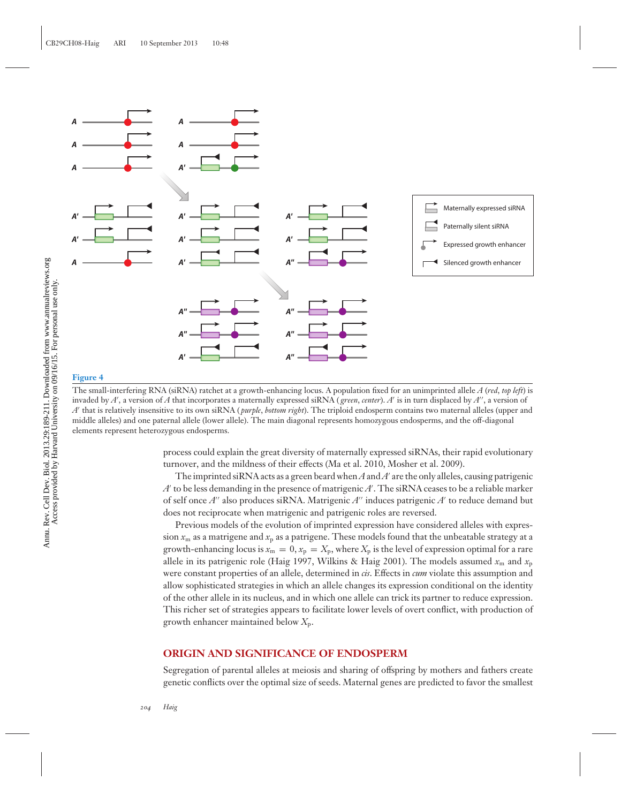

#### **Figure 4**

The small-interfering RNA (siRNA) ratchet at a growth-enhancing locus. A population fixed for an unimprinted allele *A* (*red*, *top left*) is invaded by *A ,* a version of *A* that incorporates a maternally expressed siRNA ( *green*, *center*). *A* is in turn displaced by *A*, a version of *A* that is relatively insensitive to its own siRNA ( *purple*, *bottom right*). The triploid endosperm contains two maternal alleles (upper and middle alleles) and one paternal allele (lower allele). The main diagonal represents homozygous endosperms, and the off-diagonal elements represent heterozygous endosperms.

process could explain the great diversity of maternally expressed siRNAs, their rapid evolutionary turnover, and the mildness of their effects (Ma et al. 2010, Mosher et al. 2009).

The imprinted siRNA acts as a green beard when  $A$  and  $A'$  are the only alleles, causing patrigenic *A* to be less demanding in the presence of matrigenic *A* . The siRNA ceases to be a reliable marker of self once  $A''$  also produces siRNA. Matrigenic  $A''$  induces patrigenic  $A'$  to reduce demand but does not reciprocate when matrigenic and patrigenic roles are reversed.

Previous models of the evolution of imprinted expression have considered alleles with expression  $x_m$  as a matrigene and  $x_p$  as a patrigene. These models found that the unbeatable strategy at a growth-enhancing locus is  $x_m = 0$ ,  $x_p = X_p$ , where  $X_p$  is the level of expression optimal for a rare allele in its patrigenic role (Haig 1997, Wilkins & Haig 2001). The models assumed  $x<sub>m</sub>$  and  $x<sub>p</sub>$ were constant properties of an allele, determined in *cis*. Effects in *cum* violate this assumption and allow sophisticated strategies in which an allele changes its expression conditional on the identity of the other allele in its nucleus, and in which one allele can trick its partner to reduce expression. This richer set of strategies appears to facilitate lower levels of overt conflict, with production of growth enhancer maintained below *X*p.

#### **ORIGIN AND SIGNIFICANCE OF ENDOSPERM**

Segregation of parental alleles at meiosis and sharing of offspring by mothers and fathers create genetic conflicts over the optimal size of seeds. Maternal genes are predicted to favor the smallest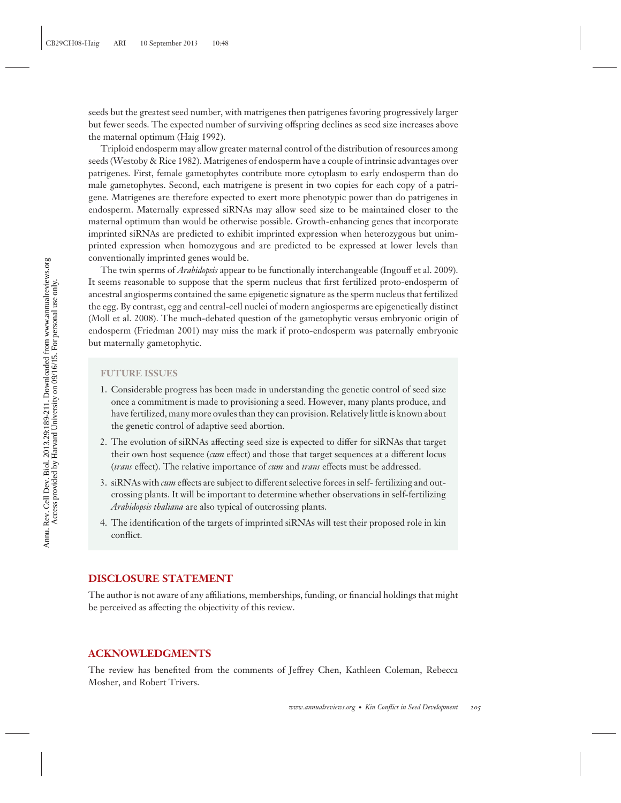seeds but the greatest seed number, with matrigenes then patrigenes favoring progressively larger but fewer seeds. The expected number of surviving offspring declines as seed size increases above the maternal optimum (Haig 1992).

Triploid endosperm may allow greater maternal control of the distribution of resources among seeds (Westoby & Rice 1982). Matrigenes of endosperm have a couple of intrinsic advantages over patrigenes. First, female gametophytes contribute more cytoplasm to early endosperm than do male gametophytes. Second, each matrigene is present in two copies for each copy of a patrigene. Matrigenes are therefore expected to exert more phenotypic power than do patrigenes in endosperm. Maternally expressed siRNAs may allow seed size to be maintained closer to the maternal optimum than would be otherwise possible. Growth-enhancing genes that incorporate imprinted siRNAs are predicted to exhibit imprinted expression when heterozygous but unimprinted expression when homozygous and are predicted to be expressed at lower levels than conventionally imprinted genes would be.

The twin sperms of *Arabidopsis* appear to be functionally interchangeable (Ingouff et al. 2009). It seems reasonable to suppose that the sperm nucleus that first fertilized proto-endosperm of ancestral angiosperms contained the same epigenetic signature as the sperm nucleus that fertilized the egg. By contrast, egg and central-cell nuclei of modern angiosperms are epigenetically distinct (Moll et al. 2008). The much-debated question of the gametophytic versus embryonic origin of endosperm (Friedman 2001) may miss the mark if proto-endosperm was paternally embryonic but maternally gametophytic.

#### **FUTURE ISSUES**

- 1. Considerable progress has been made in understanding the genetic control of seed size once a commitment is made to provisioning a seed. However, many plants produce, and have fertilized, many more ovules than they can provision. Relatively little is known about the genetic control of adaptive seed abortion.
- 2. The evolution of siRNAs affecting seed size is expected to differ for siRNAs that target their own host sequence (*cum* effect) and those that target sequences at a different locus (*trans* effect). The relative importance of *cum* and *trans* effects must be addressed.
- 3. siRNAs with *cum* effects are subject to different selective forces in self- fertilizing and outcrossing plants. It will be important to determine whether observations in self-fertilizing *Arabidopsis thaliana* are also typical of outcrossing plants.
- 4. The identification of the targets of imprinted siRNAs will test their proposed role in kin conflict.

#### **DISCLOSURE STATEMENT**

The author is not aware of any affiliations, memberships, funding, or financial holdings that might be perceived as affecting the objectivity of this review.

#### **ACKNOWLEDGMENTS**

The review has benefited from the comments of Jeffrey Chen, Kathleen Coleman, Rebecca Mosher, and Robert Trivers.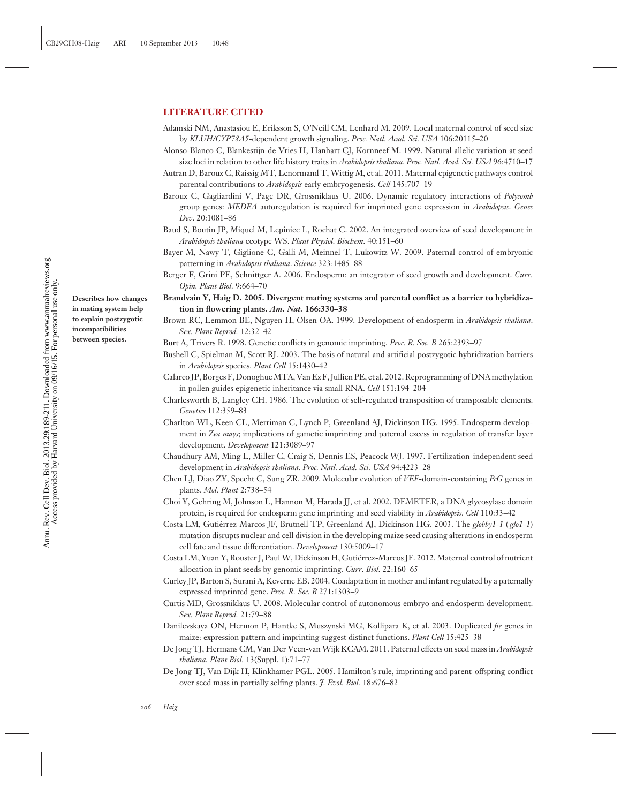#### **LITERATURE CITED**

- Adamski NM, Anastasiou E, Eriksson S, O'Neill CM, Lenhard M. 2009. Local maternal control of seed size by *KLUH/CYP78A5*-dependent growth signaling. *Proc. Natl. Acad. Sci. USA* 106:20115–20
- Alonso-Blanco C, Blankestijn-de Vries H, Hanhart CJ, Kornneef M. 1999. Natural allelic variation at seed size loci in relation to other life history traits in *Arabidopsis thaliana*. *Proc. Natl. Acad. Sci. USA* 96:4710–17
- Autran D, Baroux C, Raissig MT, Lenormand T, Wittig M, et al. 2011. Maternal epigenetic pathways control parental contributions to *Arabidopsis* early embryogenesis. *Cell* 145:707–19
- Baroux C, Gagliardini V, Page DR, Grossniklaus U. 2006. Dynamic regulatory interactions of *Polycomb* group genes: *MEDEA* autoregulation is required for imprinted gene expression in *Arabidopsis*. *Genes Dev*. 20:1081–86
- Baud S, Boutin JP, Miquel M, Lepiniec L, Rochat C. 2002. An integrated overview of seed development in *Arabidopsis thaliana* ecotype WS. *Plant Physiol. Biochem.* 40:151–60
- Bayer M, Nawy T, Giglione C, Galli M, Meinnel T, Lukowitz W. 2009. Paternal control of embryonic patterning in *Arabidopsis thaliana*. *Science* 323:1485–88
- Berger F, Grini PE, Schnittger A. 2006. Endosperm: an integrator of seed growth and development. *Curr. Opin. Plant Biol.* 9:664–70
- **Brandvain Y, Haig D. 2005. Divergent mating systems and parental conflict as a barrier to hybridization in flowering plants.** *Am. Nat.* **166:330–38**
- Brown RC, Lemmon BE, Nguyen H, Olsen OA. 1999. Development of endosperm in *Arabidopsis thaliana*. *Sex. Plant Reprod.* 12:32–42
- Burt A, Trivers R. 1998. Genetic conflicts in genomic imprinting. *Proc. R. Soc. B* 265:2393–97
- Bushell C, Spielman M, Scott RJ. 2003. The basis of natural and artificial postzygotic hybridization barriers in *Arabidopsis* species. *Plant Cell* 15:1430–42
- Calarco JP, Borges F, DonoghueMTA, Van Ex F, Jullien PE, et al. 2012. Reprogramming of DNA methylation in pollen guides epigenetic inheritance via small RNA. *Cell* 151:194–204
- Charlesworth B, Langley CH. 1986. The evolution of self-regulated transposition of transposable elements. *Genetics* 112:359–83
- Charlton WL, Keen CL, Merriman C, Lynch P, Greenland AJ, Dickinson HG. 1995. Endosperm development in *Zea mays*; implications of gametic imprinting and paternal excess in regulation of transfer layer development. *Development* 121:3089–97
- Chaudhury AM, Ming L, Miller C, Craig S, Dennis ES, Peacock WJ. 1997. Fertilization-independent seed development in *Arabidopsis thaliana*. *Proc. Natl. Acad. Sci. USA* 94:4223–28
- Chen LJ, Diao ZY, Specht C, Sung ZR. 2009. Molecular evolution of *VEF*-domain-containing *PcG* genes in plants. *Mol. Plant* 2:738–54
- Choi Y, Gehring M, Johnson L, Hannon M, Harada JJ, et al. 2002. DEMETER, a DNA glycosylase domain protein, is required for endosperm gene imprinting and seed viability in *Arabidopsis*. *Cell* 110:33–42
- Costa LM, Gutiérrez-Marcos JF, Brutnell TP, Greenland AJ, Dickinson HG. 2003. The globby1-1 (glo1-1) mutation disrupts nuclear and cell division in the developing maize seed causing alterations in endosperm cell fate and tissue differentiation. *Development* 130:5009–17
- Costa LM, Yuan Y, Rouster J, Paul W, Dickinson H, Gutierrez-Marcos JF. 2012. Maternal control of nutrient ´ allocation in plant seeds by genomic imprinting. *Curr. Biol.* 22:160–65
- Curley JP, Barton S, Surani A, Keverne EB. 2004. Coadaptation in mother and infant regulated by a paternally expressed imprinted gene. *Proc. R. Soc. B* 271:1303–9
- Curtis MD, Grossniklaus U. 2008. Molecular control of autonomous embryo and endosperm development. *Sex. Plant Reprod.* 21:79–88
- Danilevskaya ON, Hermon P, Hantke S, Muszynski MG, Kollipara K, et al. 2003. Duplicated *fie* genes in maize: expression pattern and imprinting suggest distinct functions. *Plant Cell* 15:425–38
- De Jong TJ, Hermans CM, Van Der Veen-van Wijk KCAM. 2011. Paternal effects on seed mass in *Arabidopsis thaliana*. *Plant Biol.* 13(Suppl. 1):71–77
- De Jong TJ, Van Dijk H, Klinkhamer PGL. 2005. Hamilton's rule, imprinting and parent-offspring conflict over seed mass in partially selfing plants. *J. Evol. Biol.* 18:676–82

**Describes how changes in mating system help to explain postzygotic incompatibilities between species.**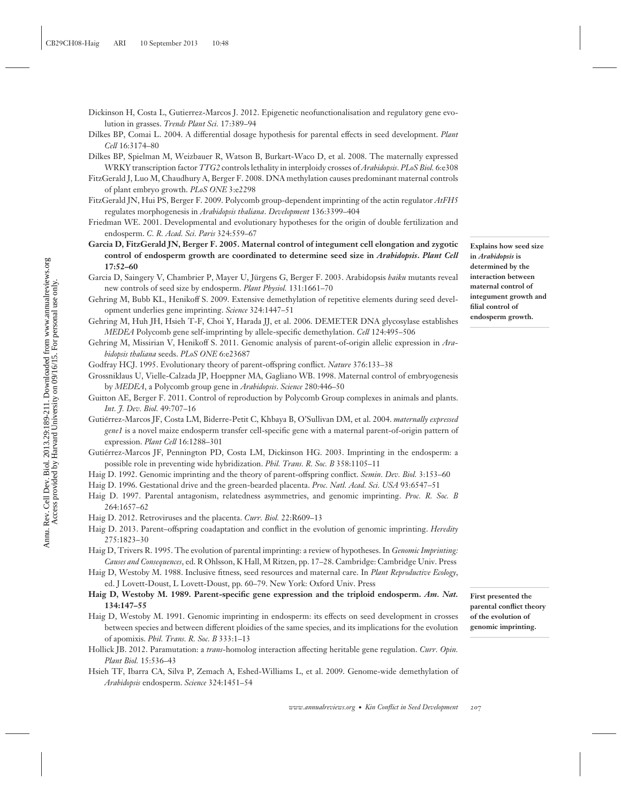- Dickinson H, Costa L, Gutierrez-Marcos J. 2012. Epigenetic neofunctionalisation and regulatory gene evolution in grasses. *Trends Plant Sci.* 17:389–94
- Dilkes BP, Comai L. 2004. A differential dosage hypothesis for parental effects in seed development. *Plant Cell* 16:3174–80
- Dilkes BP, Spielman M, Weizbauer R, Watson B, Burkart-Waco D, et al. 2008. The maternally expressed WRKY transcription factor *TTG2* controls lethality in interploidy crosses of *Arabidopsis*. *PLoS Biol.* 6:e308
- FitzGerald J, Luo M, Chaudhury A, Berger F. 2008. DNA methylation causes predominant maternal controls of plant embryo growth. *PLoS ONE* 3:e2298
- FitzGerald JN, Hui PS, Berger F. 2009. Polycomb group-dependent imprinting of the actin regulator *AtFH5* regulates morphogenesis in *Arabidopsis thaliana*. *Development* 136:3399–404
- Friedman WE. 2001. Developmental and evolutionary hypotheses for the origin of double fertilization and endosperm. *C. R. Acad. Sci. Paris* 324:559–67
- **Garcia D, FitzGerald JN, Berger F. 2005. Maternal control of integument cell elongation and zygotic control of endosperm growth are coordinated to determine seed size in** *Arabidopsis***.** *Plant Cell* **17:52–60**
- Garcia D, Saingery V, Chambrier P, Mayer U, Jürgens G, Berger F. 2003. Arabidopsis haiku mutants reveal new controls of seed size by endosperm. *Plant Physiol.* 131:1661–70
- Gehring M, Bubb KL, Henikoff S. 2009. Extensive demethylation of repetitive elements during seed development underlies gene imprinting. *Science* 324:1447–51
- Gehring M, Huh JH, Hsieh T-F, Choi Y, Harada JJ, et al. 2006. DEMETER DNA glycosylase establishes *MEDEA* Polycomb gene self-imprinting by allele-specific demethylation. *Cell* 124:495–506
- Gehring M, Missirian V, Henikoff S. 2011. Genomic analysis of parent-of-origin allelic expression in *Arabidopsis thaliana* seeds. *PLoS ONE* 6:e23687
- Godfray HCJ. 1995. Evolutionary theory of parent-offspring conflict. *Nature* 376:133–38
- Grossniklaus U, Vielle-Calzada JP, Hoeppner MA, Gagliano WB. 1998. Maternal control of embryogenesis by *MEDEA*, a Polycomb group gene in *Arabidopsis*. *Science* 280:446–50
- Guitton AE, Berger F. 2011. Control of reproduction by Polycomb Group complexes in animals and plants. *Int. J. Dev. Biol.* 49:707–16
- Gutiérrez-Marcos JF, Costa LM, Biderre-Petit C, Khbaya B, O'Sullivan DM, et al. 2004. *maternally expressed gene1* is a novel maize endosperm transfer cell-specific gene with a maternal parent-of-origin pattern of expression. *Plant Cell* 16:1288–301
- Gutiérrez-Marcos JF, Pennington PD, Costa LM, Dickinson HG. 2003. Imprinting in the endosperm: a possible role in preventing wide hybridization. *Phil. Trans. R. Soc. B* 358:1105–11
- Haig D. 1992. Genomic imprinting and the theory of parent-offspring conflict. *Semin. Dev. Biol.* 3:153–60
- Haig D. 1996. Gestational drive and the green-bearded placenta. *Proc. Natl. Acad. Sci. USA* 93:6547–51
- Haig D. 1997. Parental antagonism, relatedness asymmetries, and genomic imprinting. *Proc. R. Soc. B* 264:1657–62
- Haig D. 2012. Retroviruses and the placenta. *Curr. Biol.* 22:R609–13
- Haig D. 2013. Parent–offspring coadaptation and conflict in the evolution of genomic imprinting. *Heredity* 275:1823–30
- Haig D, Trivers R. 1995. The evolution of parental imprinting: a review of hypotheses. In *Genomic Imprinting: Causes and Consequences*, ed. R Ohlsson, K Hall, M Ritzen, pp. 17–28. Cambridge: Cambridge Univ. Press
- Haig D, Westoby M. 1988. Inclusive fitness, seed resources and maternal care. In *Plant Reproductive Ecology*, ed. J Lovett-Doust, L Lovett-Doust, pp. 60–79. New York: Oxford Univ. Press
- **Haig D, Westoby M. 1989. Parent-specific gene expression and the triploid endosperm.** *Am. Nat.* **134:147–55**
- Haig D, Westoby M. 1991. Genomic imprinting in endosperm: its effects on seed development in crosses between species and between different ploidies of the same species, and its implications for the evolution of apomixis. *Phil. Trans. R. Soc. B* 333:1–13
- Hollick JB. 2012. Paramutation: a *trans*-homolog interaction affecting heritable gene regulation. *Curr. Opin. Plant Biol.* 15:536–43
- Hsieh TF, Ibarra CA, Silva P, Zemach A, Eshed-Williams L, et al. 2009. Genome-wide demethylation of *Arabidopsis* endosperm. *Science* 324:1451–54

**Explains how seed size in** *Arabidopsis* **is determined by the interaction between maternal control of integument growth and filial control of endosperm growth.**

**First presented the parental conflict theory of the evolution of genomic imprinting.**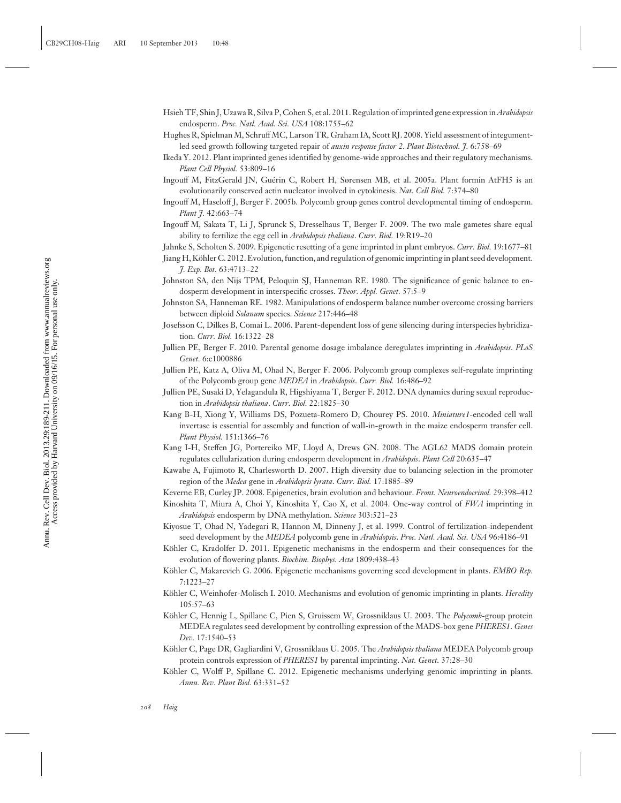- Hsieh TF, Shin J, Uzawa R, Silva P, Cohen S, et al. 2011. Regulation of imprinted gene expression in*Arabidopsis* endosperm. *Proc. Natl. Acad. Sci. USA* 108:1755–62
- Hughes R, Spielman M, Schruff MC, Larson TR, Graham IA, Scott RJ. 2008. Yield assessment of integumentled seed growth following targeted repair of *auxin response factor 2*. *Plant Biotechnol. J.* 6:758–69

Ikeda Y. 2012. Plant imprinted genes identified by genome-wide approaches and their regulatory mechanisms. *Plant Cell Physiol.* 53:809–16

- Ingouff M, FitzGerald JN, Guerin C, Robert H, Sørensen MB, et al. 2005a. Plant formin AtFH5 is an ´ evolutionarily conserved actin nucleator involved in cytokinesis. *Nat. Cell Biol.* 7:374–80
- Ingouff M, Haseloff J, Berger F. 2005b. Polycomb group genes control developmental timing of endosperm. *Plant J.* 42:663–74
- Ingouff M, Sakata T, Li J, Sprunck S, Dresselhaus T, Berger F. 2009. The two male gametes share equal ability to fertilize the egg cell in *Arabidopsis thaliana*. *Curr. Biol.* 19:R19–20

Jahnke S, Scholten S. 2009. Epigenetic resetting of a gene imprinted in plant embryos. *Curr. Biol.* 19:1677–81

- Jiang H, Kohler C. 2012. Evolution, function, and regulation of genomic imprinting in plant seed development. ¨ *J. Exp. Bot.* 63:4713–22
- Johnston SA, den Nijs TPM, Peloquin SJ, Hanneman RE. 1980. The significance of genic balance to endosperm development in interspecific crosses. *Theor. Appl. Genet.* 57:5–9
- Johnston SA, Hanneman RE. 1982. Manipulations of endosperm balance number overcome crossing barriers between diploid *Solanum* species. *Science* 217:446–48
- Josefsson C, Dilkes B, Comai L. 2006. Parent-dependent loss of gene silencing during interspecies hybridization. *Curr. Biol.* 16:1322–28
- Jullien PE, Berger F. 2010. Parental genome dosage imbalance deregulates imprinting in *Arabidopsis*. *PLoS Genet.* 6:e1000886
- Jullien PE, Katz A, Oliva M, Ohad N, Berger F. 2006. Polycomb group complexes self-regulate imprinting of the Polycomb group gene *MEDEA* in *Arabidopsis*. *Curr. Biol.* 16:486–92
- Jullien PE, Susaki D, Yelagandula R, Higshiyama T, Berger F. 2012. DNA dynamics during sexual reproduction in *Arabidopsis thaliana*. *Curr. Biol.* 22:1825–30
- Kang B-H, Xiong Y, Williams DS, Pozueta-Romero D, Chourey PS. 2010. *Miniature1*-encoded cell wall invertase is essential for assembly and function of wall-in-growth in the maize endosperm transfer cell. *Plant Physiol.* 151:1366–76
- Kang I-H, Steffen JG, Portereiko MF, Lloyd A, Drews GN. 2008. The AGL62 MADS domain protein regulates cellularization during endosperm development in *Arabidopsis*. *Plant Cell* 20:635–47
- Kawabe A, Fujimoto R, Charlesworth D. 2007. High diversity due to balancing selection in the promoter region of the *Medea* gene in *Arabidopsis lyrata*. *Curr. Biol.* 17:1885–89

Keverne EB, Curley JP. 2008. Epigenetics, brain evolution and behaviour. *Front. Neuroendocrinol.* 29:398–412

- Kinoshita T, Miura A, Choi Y, Kinoshita Y, Cao X, et al. 2004. One-way control of *FWA* imprinting in *Arabidopsis* endosperm by DNA methylation. *Science* 303:521–23
- Kiyosue T, Ohad N, Yadegari R, Hannon M, Dinneny J, et al. 1999. Control of fertilization-independent seed development by the *MEDEA* polycomb gene in *Arabidopsis*. *Proc. Natl. Acad. Sci. USA* 96:4186–91
- Köhler C, Kradolfer D. 2011. Epigenetic mechanisms in the endosperm and their consequences for the evolution of flowering plants. *Biochim. Biophys. Acta* 1809:438–43
- Köhler C, Makarevich G. 2006. Epigenetic mechanisms governing seed development in plants. *EMBO Rep.* 7:1223–27
- Köhler C, Weinhofer-Molisch I. 2010. Mechanisms and evolution of genomic imprinting in plants. *Heredity* 105:57–63
- Köhler C, Hennig L, Spillane C, Pien S, Gruissem W, Grossniklaus U. 2003. The *Polycomb*-group protein MEDEA regulates seed development by controlling expression of the MADS-box gene *PHERES1*. *Genes Dev.* 17:1540–53
- Köhler C, Page DR, Gagliardini V, Grossniklaus U. 2005. The Arabidopsis thaliana MEDEA Polycomb group protein controls expression of *PHERES1* by parental imprinting. *Nat. Genet.* 37:28–30
- Köhler C, Wolff P, Spillane C. 2012. Epigenetic mechanisms underlying genomic imprinting in plants. *Annu. Rev. Plant Biol.* 63:331–52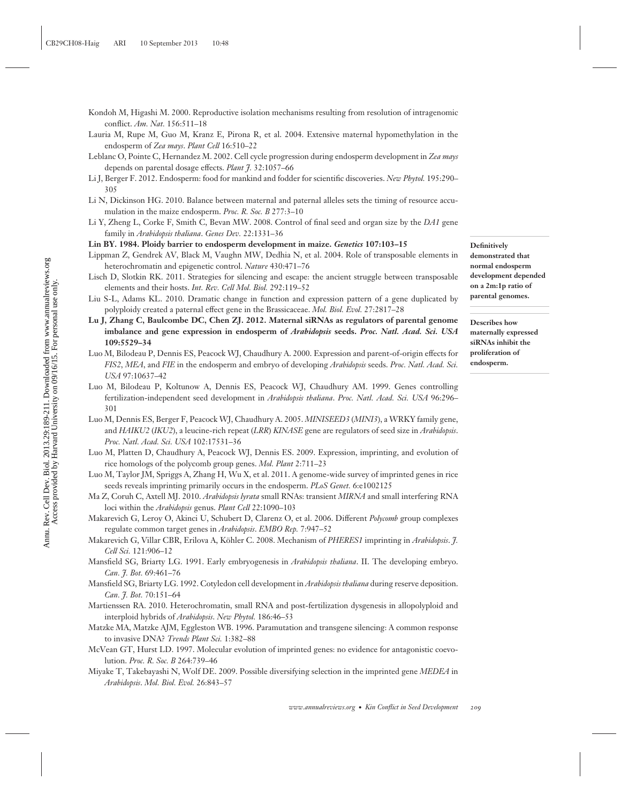- Kondoh M, Higashi M. 2000. Reproductive isolation mechanisms resulting from resolution of intragenomic conflict. *Am. Nat.* 156:511–18
- Lauria M, Rupe M, Guo M, Kranz E, Pirona R, et al. 2004. Extensive maternal hypomethylation in the endosperm of *Zea mays*. *Plant Cell* 16:510–22
- Leblanc O, Pointe C, Hernandez M. 2002. Cell cycle progression during endosperm development in *Zea mays* depends on parental dosage effects. *Plant J.* 32:1057–66
- Li J, Berger F. 2012. Endosperm: food for mankind and fodder for scientific discoveries. *New Phytol.* 195:290– 305
- Li N, Dickinson HG. 2010. Balance between maternal and paternal alleles sets the timing of resource accumulation in the maize endosperm. *Proc. R. Soc. B* 277:3–10
- Li Y, Zheng L, Corke F, Smith C, Bevan MW. 2008. Control of final seed and organ size by the *DA1* gene family in *Arabidopsis thaliana*. *Genes Dev.* 22:1331–36

#### **Lin BY. 1984. Ploidy barrier to endosperm development in maize.** *Genetics* **107:103–15**

- Lippman Z, Gendrek AV, Black M, Vaughn MW, Dedhia N, et al. 2004. Role of transposable elements in heterochromatin and epigenetic control. *Nature* 430:471–76
- Lisch D, Slotkin RK. 2011. Strategies for silencing and escape: the ancient struggle between transposable elements and their hosts. *Int. Rev. Cell Mol. Biol.* 292:119–52
- Liu S-L, Adams KL. 2010. Dramatic change in function and expression pattern of a gene duplicated by polyploidy created a paternal effect gene in the Brassicaceae. *Mol. Biol. Evol.* 27:2817–28
- **Lu J, Zhang C, Baulcombe DC, Chen ZJ. 2012. Maternal siRNAs as regulators of parental genome imbalance and gene expression in endosperm of** *Arabidopsis* **seeds.** *Proc. Natl. Acad. Sci. USA* **109:5529–34**
- Luo M, Bilodeau P, Dennis ES, Peacock WJ, Chaudhury A. 2000. Expression and parent-of-origin effects for *FIS2*, *MEA*, and *FIE* in the endosperm and embryo of developing *Arabidopsis* seeds. *Proc. Natl. Acad. Sci. USA* 97:10637–42
- Luo M, Bilodeau P, Koltunow A, Dennis ES, Peacock WJ, Chaudhury AM. 1999. Genes controlling fertilization-independent seed development in *Arabidopsis thaliana*. *Proc. Natl. Acad. Sci. USA* 96:296– 301
- Luo M, Dennis ES, Berger F, Peacock WJ, Chaudhury A. 2005. *MINISEED3* (*MINI3*), a WRKY family gene, and *HAIKU2* (*IKU2*), a leucine-rich repeat (*LRR*) *KINASE* gene are regulators of seed size in *Arabidopsis*. *Proc. Natl. Acad. Sci. USA* 102:17531–36
- Luo M, Platten D, Chaudhury A, Peacock WJ, Dennis ES. 2009. Expression, imprinting, and evolution of rice homologs of the polycomb group genes. *Mol. Plant* 2:711–23
- Luo M, Taylor JM, Spriggs A, Zhang H, Wu X, et al. 2011. A genome-wide survey of imprinted genes in rice seeds reveals imprinting primarily occurs in the endosperm. *PLoS Genet.* 6:e1002125
- Ma Z, Coruh C, Axtell MJ. 2010. *Arabidopsis lyrata* small RNAs: transient *MIRNA* and small interfering RNA loci within the *Arabidopsis* genus. *Plant Cell* 22:1090–103
- Makarevich G, Leroy O, Akinci U, Schubert D, Clarenz O, et al. 2006. Different *Polycomb* group complexes regulate common target genes in *Arabidopsis*. *EMBO Rep.* 7:947–52
- Makarevich G, Villar CBR, Erilova A, Köhler C. 2008. Mechanism of PHERES1 imprinting in *Arabidopsis*. *J. Cell Sci.* 121:906–12
- Mansfield SG, Briarty LG. 1991. Early embryogenesis in *Arabidopsis thaliana*. II. The developing embryo. *Can. J. Bot.* 69:461–76
- Mansfield SG, Briarty LG. 1992. Cotyledon cell development in *Arabidopsis thaliana* during reserve deposition. *Can. J. Bot.* 70:151–64
- Martienssen RA. 2010. Heterochromatin, small RNA and post-fertilization dysgenesis in allopolyploid and interploid hybrids of *Arabidopsis*. *New Phytol.* 186:46–53
- Matzke MA, Matzke AJM, Eggleston WB. 1996. Paramutation and transgene silencing: A common response to invasive DNA? *Trends Plant Sci.* 1:382–88
- McVean GT, Hurst LD. 1997. Molecular evolution of imprinted genes: no evidence for antagonistic coevolution. *Proc. R. Soc. B* 264:739–46
- Miyake T, Takebayashi N, Wolf DE. 2009. Possible diversifying selection in the imprinted gene *MEDEA* in *Arabidopsis*. *Mol. Biol. Evol.* 26:843–57

**Definitively**

**demonstrated that normal endosperm development depended on a 2m:1p ratio of parental genomes.**

**Describes how maternally expressed siRNAs inhibit the proliferation of endosperm.**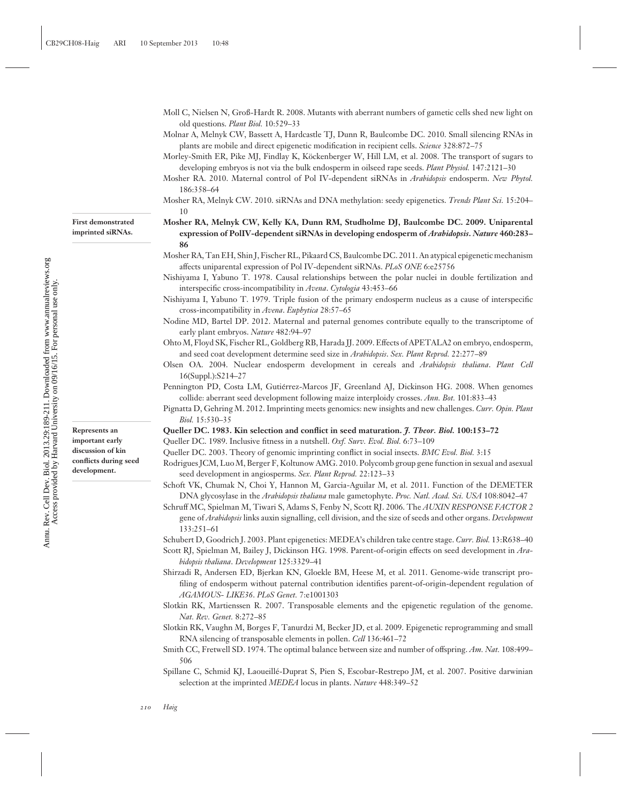- Moll C, Nielsen N, Groß-Hardt R. 2008. Mutants with aberrant numbers of gametic cells shed new light on old questions. *Plant Biol.* 10:529–33 Molnar A, Melnyk CW, Bassett A, Hardcastle TJ, Dunn R, Baulcombe DC. 2010. Small silencing RNAs in plants are mobile and direct epigenetic modification in recipient cells. *Science* 328:872–75 Morley-Smith ER, Pike MJ, Findlay K, Köckenberger W, Hill LM, et al. 2008. The transport of sugars to
	- developing embryos is not via the bulk endosperm in oilseed rape seeds. *Plant Physiol.* 147:2121–30 Mosher RA. 2010. Maternal control of Pol IV-dependent siRNAs in *Arabidopsis* endosperm. *New Phytol.*

- Mosher RA, Melnyk CW. 2010. siRNAs and DNA methylation: seedy epigenetics. *Trends Plant Sci.* 15:204– 10
- **Mosher RA, Melnyk CW, Kelly KA, Dunn RM, Studholme DJ, Baulcombe DC. 2009. Uniparental expression of PolIV-dependent siRNAs in developing endosperm of** *Arabidopsis***.** *Nature* **460:283– 86**
- Mosher RA, Tan EH, Shin J, Fischer RL, Pikaard CS, Baulcombe DC. 2011. An atypical epigenetic mechanism affects uniparental expression of Pol IV-dependent siRNAs. *PLoS ONE* 6:e25756
- Nishiyama I, Yabuno T. 1978. Causal relationships between the polar nuclei in double fertilization and interspecific cross-incompatibility in *Avena*. *Cytologia* 43:453–66
- Nishiyama I, Yabuno T. 1979. Triple fusion of the primary endosperm nucleus as a cause of interspecific cross-incompatibility in *Avena*. *Euphytica* 28:57–65
- Nodine MD, Bartel DP. 2012. Maternal and paternal genomes contribute equally to the transcriptome of early plant embryos. *Nature* 482:94–97
- Ohto M, Floyd SK, Fischer RL, Goldberg RB, Harada JJ. 2009. Effects of APETALA2 on embryo, endosperm, and seed coat development determine seed size in *Arabidopsis*. *Sex. Plant Reprod.* 22:277–89
- Olsen OA. 2004. Nuclear endosperm development in cereals and *Arabidopsis thaliana*. *Plant Cell* 16(Suppl.):S214–27
- Pennington PD, Costa LM, Gutiérrez-Marcos JF, Greenland AJ, Dickinson HG. 2008. When genomes collide: aberrant seed development following maize interploidy crosses. *Ann. Bot.* 101:833–43
- Pignatta D, Gehring M. 2012. Imprinting meets genomics: new insights and new challenges. *Curr. Opin. Plant Biol.* 15:530–35
- **Queller DC. 1983. Kin selection and conflict in seed maturation.** *J. Theor. Biol.* **100:153–72**
- Queller DC. 1989. Inclusive fitness in a nutshell. *Oxf. Surv. Evol. Biol.* 6:73–109
- Queller DC. 2003. Theory of genomic imprinting conflict in social insects. *BMC Evol. Biol.* 3:15
- Rodrigues JCM, Luo M, Berger F, Koltunow AMG. 2010. Polycomb group gene function in sexual and asexual seed development in angiosperms. *Sex. Plant Reprod.* 22:123–33
- Schoft VK, Chumak N, Choi Y, Hannon M, Garcia-Aguilar M, et al. 2011. Function of the DEMETER DNA glycosylase in the *Arabidopsis thaliana* male gametophyte. *Proc. Natl. Acad. Sci. USA* 108:8042–47
- Schruff MC, Spielman M, Tiwari S, Adams S, Fenby N, Scott RJ. 2006. The *AUXIN RESPONSE FACTOR 2* gene of *Arabidopsis* links auxin signalling, cell division, and the size of seeds and other organs. *Development* 133:251–61
- Schubert D, Goodrich J. 2003. Plant epigenetics: MEDEA's children take centre stage. *Curr. Biol.* 13:R638–40
- Scott RJ, Spielman M, Bailey J, Dickinson HG. 1998. Parent-of-origin effects on seed development in *Arabidopsis thaliana*. *Development* 125:3329–41
- Shirzadi R, Andersen ED, Bjerkan KN, Gloekle BM, Heese M, et al. 2011. Genome-wide transcript profiling of endosperm without paternal contribution identifies parent-of-origin-dependent regulation of *AGAMOUS- LIKE36*. *PLoS Genet.* 7:e1001303
- Slotkin RK, Martienssen R. 2007. Transposable elements and the epigenetic regulation of the genome. *Nat. Rev. Genet.* 8:272–85
- Slotkin RK, Vaughn M, Borges F, Tanurdzi M, Becker JD, et al. 2009. Epigenetic reprogramming and small RNA silencing of transposable elements in pollen. *Cell* 136:461–72
- Smith CC, Fretwell SD. 1974. The optimal balance between size and number of offspring. *Am. Nat.* 108:499– 506
- Spillane C, Schmid KJ, Laoueille-Duprat S, Pien S, Escobar-Restrepo JM, et al. 2007. Positive darwinian ´ selection at the imprinted *MEDEA* locus in plants. *Nature* 448:349–52

**First demonstrated imprinted siRNAs.**

<sup>186:358–64</sup>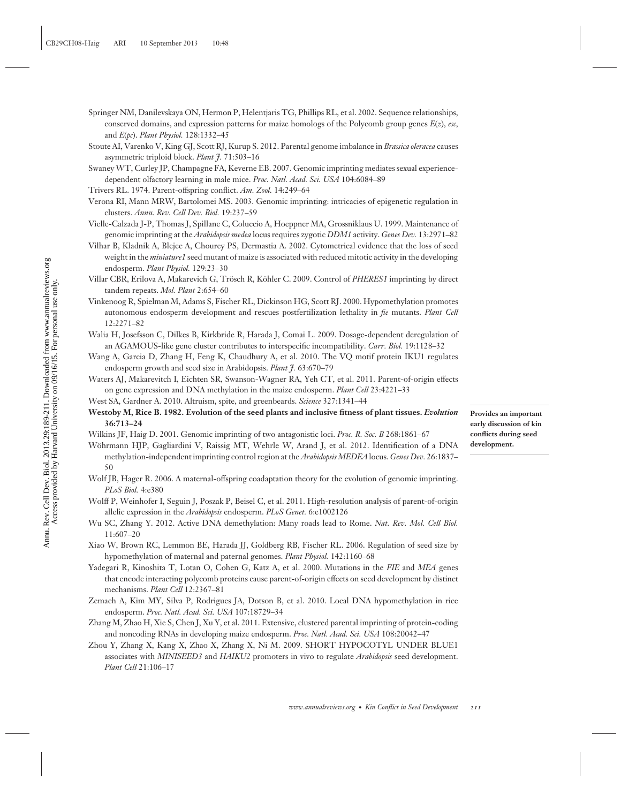- Springer NM, Danilevskaya ON, Hermon P, Helentjaris TG, Phillips RL, et al. 2002. Sequence relationships, conserved domains, and expression patterns for maize homologs of the Polycomb group genes  $E(z)$ , *esc*, and *E*(*pc*). *Plant Physiol.* 128:1332–45
- Stoute AI, Varenko V, King GJ, Scott RJ, Kurup S. 2012. Parental genome imbalance in *Brassica oleracea* causes asymmetric triploid block. *Plant J.* 71:503–16

Swaney WT, Curley JP, Champagne FA, Keverne EB. 2007. Genomic imprinting mediates sexual experiencedependent olfactory learning in male mice. *Proc. Natl. Acad. Sci. USA* 104:6084–89

Trivers RL. 1974. Parent-offspring conflict. *Am. Zool.* 14:249–64

- Verona RI, Mann MRW, Bartolomei MS. 2003. Genomic imprinting: intricacies of epigenetic regulation in clusters. *Annu. Rev. Cell Dev. Biol.* 19:237–59
- Vielle-Calzada J-P, Thomas J, Spillane C, Coluccio A, Hoeppner MA, Grossniklaus U. 1999. Maintenance of genomic imprinting at the *Arabidopsis medea* locus requires zygotic *DDM1* activity. *Genes Dev.* 13:2971–82
- Vilhar B, Kladnik A, Blejec A, Chourey PS, Dermastia A. 2002. Cytometrical evidence that the loss of seed weight in the *miniature1* seed mutant of maize is associated with reduced mitotic activity in the developing endosperm. *Plant Physiol.* 129:23–30
- Villar CBR, Erilova A, Makarevich G, Trösch R, Köhler C. 2009. Control of PHERES1 imprinting by direct tandem repeats. *Mol. Plant* 2:654–60
- Vinkenoog R, Spielman M, Adams S, Fischer RL, Dickinson HG, Scott RJ. 2000. Hypomethylation promotes autonomous endosperm development and rescues postfertilization lethality in *fie* mutants. *Plant Cell* 12:2271–82
- Walia H, Josefsson C, Dilkes B, Kirkbride R, Harada J, Comai L. 2009. Dosage-dependent deregulation of an AGAMOUS-like gene cluster contributes to interspecific incompatibility. *Curr. Biol.* 19:1128–32
- Wang A, Garcia D, Zhang H, Feng K, Chaudhury A, et al. 2010. The VQ motif protein IKU1 regulates endosperm growth and seed size in Arabidopsis. *Plant J.* 63:670–79
- Waters AJ, Makarevitch I, Eichten SR, Swanson-Wagner RA, Yeh CT, et al. 2011. Parent-of-origin effects on gene expression and DNA methylation in the maize endosperm. *Plant Cell* 23:4221–33
- West SA, Gardner A. 2010. Altruism, spite, and greenbeards. *Science* 327:1341–44
- **Westoby M, Rice B. 1982. Evolution of the seed plants and inclusive fitness of plant tissues.** *Evolution* **36:713–24**
- Wilkins JF, Haig D. 2001. Genomic imprinting of two antagonistic loci. *Proc. R. Soc. B* 268:1861–67
- Wöhrmann HJP, Gagliardini V, Raissig MT, Wehrle W, Arand J, et al. 2012. Identification of a DNA methylation-independent imprinting control region at the*Arabidopsis MEDEA*locus. *Genes Dev.* 26:1837– 50
- Wolf JB, Hager R. 2006. A maternal-offspring coadaptation theory for the evolution of genomic imprinting. *PLoS Biol.* 4:e380
- Wolff P, Weinhofer I, Seguin J, Poszak P, Beisel C, et al. 2011. High-resolution analysis of parent-of-origin allelic expression in the *Arabidopsis* endosperm. *PLoS Genet.* 6:e1002126
- Wu SC, Zhang Y. 2012. Active DNA demethylation: Many roads lead to Rome. *Nat. Rev. Mol. Cell Biol.* 11:607–20
- Xiao W, Brown RC, Lemmon BE, Harada JJ, Goldberg RB, Fischer RL. 2006. Regulation of seed size by hypomethylation of maternal and paternal genomes. *Plant Physiol.* 142:1160–68
- Yadegari R, Kinoshita T, Lotan O, Cohen G, Katz A, et al. 2000. Mutations in the *FIE* and *MEA* genes that encode interacting polycomb proteins cause parent-of-origin effects on seed development by distinct mechanisms. *Plant Cell* 12:2367–81
- Zemach A, Kim MY, Silva P, Rodrigues JA, Dotson B, et al. 2010. Local DNA hypomethylation in rice endosperm. *Proc. Natl. Acad. Sci. USA* 107:18729–34
- Zhang M, Zhao H, Xie S, Chen J, Xu Y, et al. 2011. Extensive, clustered parental imprinting of protein-coding and noncoding RNAs in developing maize endosperm. *Proc. Natl. Acad. Sci. USA* 108:20042–47
- Zhou Y, Zhang X, Kang X, Zhao X, Zhang X, Ni M. 2009. SHORT HYPOCOTYL UNDER BLUE1 associates with *MINISEED3* and *HAIKU2* promoters in vivo to regulate *Arabidopsis* seed development. *Plant Cell* 21:106–17

**Provides an important early discussion of kin conflicts during seed development.**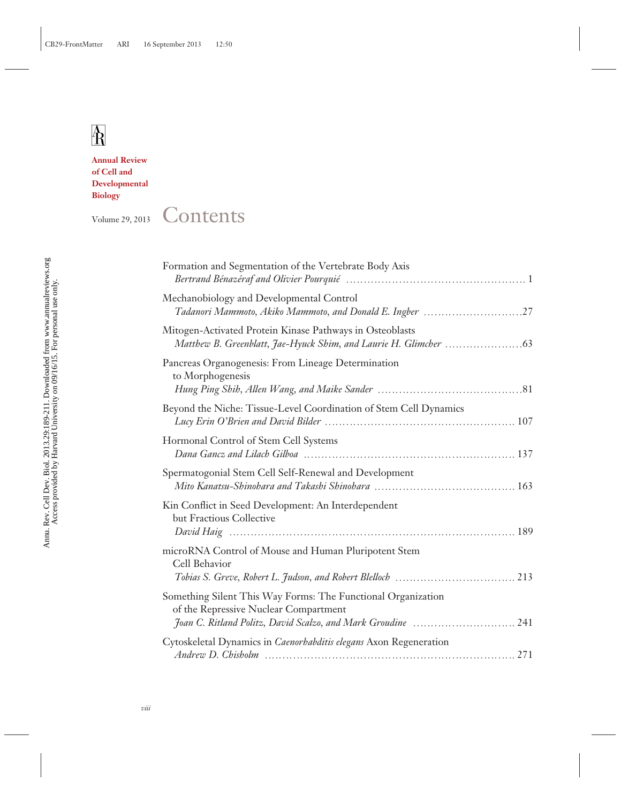**Annual Review of Cell and Developmental Biology**

# Volume 29, 2013 Contents

| Formation and Segmentation of the Vertebrate Body Axis                                                |
|-------------------------------------------------------------------------------------------------------|
| Mechanobiology and Developmental Control<br>Tadanori Mammoto, Akiko Mammoto, and Donald E. Ingber 27  |
| Mitogen-Activated Protein Kinase Pathways in Osteoblasts                                              |
| Pancreas Organogenesis: From Lineage Determination<br>to Morphogenesis                                |
| Beyond the Niche: Tissue-Level Coordination of Stem Cell Dynamics                                     |
| Hormonal Control of Stem Cell Systems                                                                 |
| Spermatogonial Stem Cell Self-Renewal and Development                                                 |
| Kin Conflict in Seed Development: An Interdependent<br>but Fractious Collective                       |
| microRNA Control of Mouse and Human Pluripotent Stem<br>Cell Behavior                                 |
| Something Silent This Way Forms: The Functional Organization<br>of the Repressive Nuclear Compartment |
| Cytoskeletal Dynamics in Caenorhabditis elegans Axon Regeneration                                     |